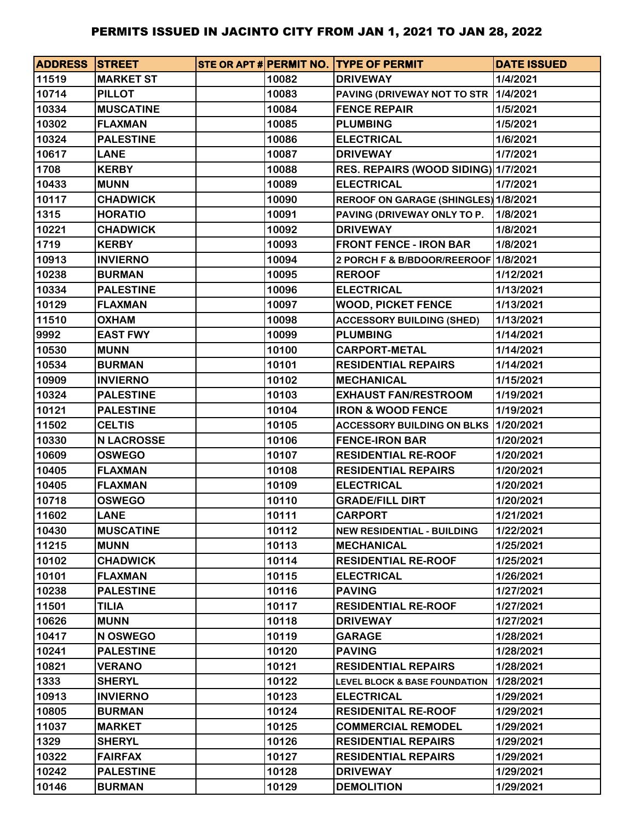| <b>ADDRESS STREET</b> |                   |       | STE OR APT # PERMIT NO. TYPE OF PERMIT   | <b>DATE ISSUED</b> |
|-----------------------|-------------------|-------|------------------------------------------|--------------------|
| 11519                 | <b>MARKET ST</b>  | 10082 | <b>DRIVEWAY</b>                          | 1/4/2021           |
| 10714                 | <b>PILLOT</b>     | 10083 | PAVING (DRIVEWAY NOT TO STR              | 1/4/2021           |
| 10334                 | <b>MUSCATINE</b>  | 10084 | <b>FENCE REPAIR</b>                      | 1/5/2021           |
| 10302                 | <b>FLAXMAN</b>    | 10085 | <b>PLUMBING</b>                          | 1/5/2021           |
| 10324                 | <b>PALESTINE</b>  | 10086 | <b>ELECTRICAL</b>                        | 1/6/2021           |
| 10617                 | <b>LANE</b>       | 10087 | <b>DRIVEWAY</b>                          | 1/7/2021           |
| 1708                  | <b>KERBY</b>      | 10088 | RES. REPAIRS (WOOD SIDING) 1/7/2021      |                    |
| 10433                 | <b>MUNN</b>       | 10089 | <b>ELECTRICAL</b>                        | 1/7/2021           |
| 10117                 | <b>CHADWICK</b>   | 10090 | REROOF ON GARAGE (SHINGLES) 1/8/2021     |                    |
| 1315                  | <b>HORATIO</b>    | 10091 | PAVING (DRIVEWAY ONLY TO P.              | 1/8/2021           |
| 10221                 | <b>CHADWICK</b>   | 10092 | <b>DRIVEWAY</b>                          | 1/8/2021           |
| 1719                  | <b>KERBY</b>      | 10093 | <b>FRONT FENCE - IRON BAR</b>            | 1/8/2021           |
| 10913                 | <b>INVIERNO</b>   | 10094 | 2 PORCH F & B/BDOOR/REEROOF 1/8/2021     |                    |
| 10238                 | <b>BURMAN</b>     | 10095 | <b>REROOF</b>                            | 1/12/2021          |
| 10334                 | <b>PALESTINE</b>  | 10096 | <b>ELECTRICAL</b>                        | 1/13/2021          |
| 10129                 | <b>FLAXMAN</b>    | 10097 | <b>WOOD, PICKET FENCE</b>                | 1/13/2021          |
| 11510                 | <b>OXHAM</b>      | 10098 | <b>ACCESSORY BUILDING (SHED)</b>         | 1/13/2021          |
| 9992                  | <b>EAST FWY</b>   | 10099 | <b>PLUMBING</b>                          | 1/14/2021          |
| 10530                 | <b>MUNN</b>       | 10100 | <b>CARPORT-METAL</b>                     | 1/14/2021          |
| 10534                 | <b>BURMAN</b>     | 10101 | <b>RESIDENTIAL REPAIRS</b>               | 1/14/2021          |
| 10909                 | <b>INVIERNO</b>   | 10102 | <b>MECHANICAL</b>                        | 1/15/2021          |
| 10324                 | <b>PALESTINE</b>  | 10103 | <b>EXHAUST FAN/RESTROOM</b>              | 1/19/2021          |
| 10121                 | <b>PALESTINE</b>  | 10104 | <b>IRON &amp; WOOD FENCE</b>             | 1/19/2021          |
| 11502                 | <b>CELTIS</b>     | 10105 | <b>ACCESSORY BUILDING ON BLKS</b>        | 1/20/2021          |
| 10330                 | <b>N LACROSSE</b> | 10106 | <b>FENCE-IRON BAR</b>                    | 1/20/2021          |
| 10609                 | <b>OSWEGO</b>     | 10107 | <b>RESIDENTIAL RE-ROOF</b>               | 1/20/2021          |
| 10405                 | <b>FLAXMAN</b>    | 10108 | <b>RESIDENTIAL REPAIRS</b>               | 1/20/2021          |
| 10405                 | <b>FLAXMAN</b>    | 10109 | <b>ELECTRICAL</b>                        | 1/20/2021          |
| 10718                 | <b>OSWEGO</b>     | 10110 | <b>GRADE/FILL DIRT</b>                   | 1/20/2021          |
| 11602                 | <b>LANE</b>       | 10111 | <b>CARPORT</b>                           | 1/21/2021          |
| 10430                 | <b>MUSCATINE</b>  | 10112 | <b>NEW RESIDENTIAL - BUILDING</b>        | 1/22/2021          |
| 11215                 | <b>MUNN</b>       | 10113 | <b>MECHANICAL</b>                        | 1/25/2021          |
| 10102                 | <b>CHADWICK</b>   | 10114 | <b>RESIDENTIAL RE-ROOF</b>               | 1/25/2021          |
| 10101                 | <b>FLAXMAN</b>    | 10115 | <b>ELECTRICAL</b>                        | 1/26/2021          |
| 10238                 | <b>PALESTINE</b>  | 10116 | <b>PAVING</b>                            | 1/27/2021          |
| 11501                 | <b>TILIA</b>      | 10117 | <b>RESIDENTIAL RE-ROOF</b>               | 1/27/2021          |
| 10626                 | <b>MUNN</b>       | 10118 | <b>DRIVEWAY</b>                          | 1/27/2021          |
| 10417                 | N OSWEGO          | 10119 | <b>GARAGE</b>                            | 1/28/2021          |
| 10241                 | <b>PALESTINE</b>  | 10120 | <b>PAVING</b>                            | 1/28/2021          |
| 10821                 | <b>VERANO</b>     | 10121 | <b>RESIDENTIAL REPAIRS</b>               | 1/28/2021          |
| 1333                  | <b>SHERYL</b>     | 10122 | <b>LEVEL BLOCK &amp; BASE FOUNDATION</b> | 1/28/2021          |
| 10913                 | <b>INVIERNO</b>   | 10123 | <b>ELECTRICAL</b>                        | 1/29/2021          |
| 10805                 | <b>BURMAN</b>     | 10124 | <b>RESIDENITAL RE-ROOF</b>               | 1/29/2021          |
| 11037                 | <b>MARKET</b>     | 10125 | <b>COMMERCIAL REMODEL</b>                | 1/29/2021          |
| 1329                  | <b>SHERYL</b>     | 10126 | <b>RESIDENTIAL REPAIRS</b>               | 1/29/2021          |
| 10322                 | <b>FAIRFAX</b>    | 10127 | <b>RESIDENTIAL REPAIRS</b>               | 1/29/2021          |
| 10242                 | <b>PALESTINE</b>  | 10128 | <b>DRIVEWAY</b>                          | 1/29/2021          |
| 10146                 | <b>BURMAN</b>     | 10129 | <b>DEMOLITION</b>                        | 1/29/2021          |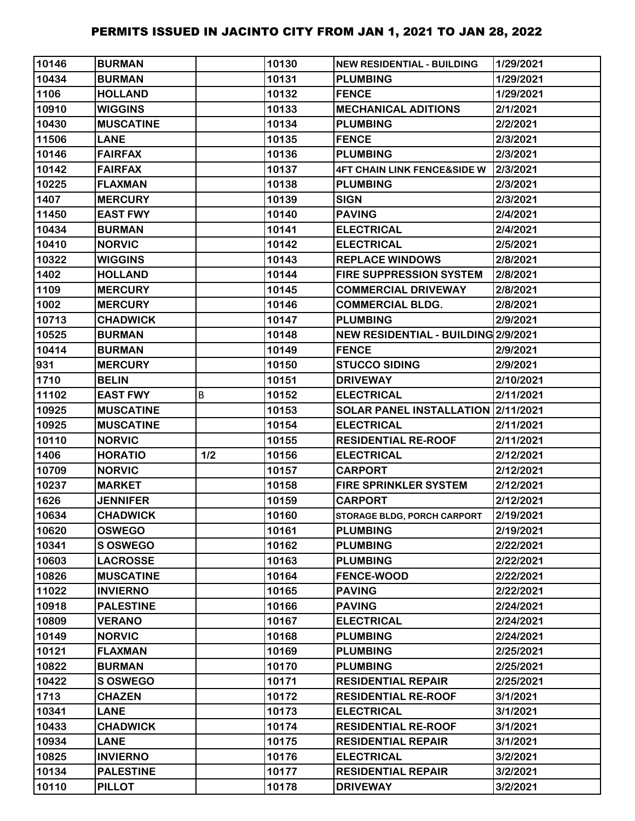| 10146 | <b>BURMAN</b>    |     | 10130 | <b>NEW RESIDENTIAL - BUILDING</b>      | 1/29/2021 |
|-------|------------------|-----|-------|----------------------------------------|-----------|
| 10434 | <b>BURMAN</b>    |     | 10131 | <b>PLUMBING</b>                        | 1/29/2021 |
| 1106  | <b>HOLLAND</b>   |     | 10132 | <b>FENCE</b>                           | 1/29/2021 |
| 10910 | <b>WIGGINS</b>   |     | 10133 | <b>MECHANICAL ADITIONS</b>             | 2/1/2021  |
| 10430 | <b>MUSCATINE</b> |     | 10134 | <b>PLUMBING</b>                        | 2/2/2021  |
| 11506 | <b>LANE</b>      |     | 10135 | <b>FENCE</b>                           | 2/3/2021  |
| 10146 | <b>FAIRFAX</b>   |     | 10136 | <b>PLUMBING</b>                        | 2/3/2021  |
| 10142 | <b>FAIRFAX</b>   |     | 10137 | <b>4FT CHAIN LINK FENCE&amp;SIDE W</b> | 2/3/2021  |
| 10225 | <b>FLAXMAN</b>   |     | 10138 | <b>PLUMBING</b>                        | 2/3/2021  |
| 1407  | <b>MERCURY</b>   |     | 10139 | <b>SIGN</b>                            | 2/3/2021  |
| 11450 | <b>EAST FWY</b>  |     | 10140 | <b>PAVING</b>                          | 2/4/2021  |
| 10434 | <b>BURMAN</b>    |     | 10141 | <b>ELECTRICAL</b>                      | 2/4/2021  |
| 10410 | <b>NORVIC</b>    |     | 10142 | <b>ELECTRICAL</b>                      | 2/5/2021  |
| 10322 | <b>WIGGINS</b>   |     | 10143 | <b>REPLACE WINDOWS</b>                 | 2/8/2021  |
| 1402  | <b>HOLLAND</b>   |     | 10144 | <b>FIRE SUPPRESSION SYSTEM</b>         | 2/8/2021  |
| 1109  | <b>MERCURY</b>   |     | 10145 | <b>COMMERCIAL DRIVEWAY</b>             | 2/8/2021  |
| 1002  | <b>MERCURY</b>   |     | 10146 | <b>COMMERCIAL BLDG.</b>                | 2/8/2021  |
| 10713 | <b>CHADWICK</b>  |     | 10147 | <b>PLUMBING</b>                        | 2/9/2021  |
| 10525 | <b>BURMAN</b>    |     | 10148 | NEW RESIDENTIAL - BUILDING 2/9/2021    |           |
| 10414 | <b>BURMAN</b>    |     | 10149 | <b>FENCE</b>                           | 2/9/2021  |
| 931   | <b>MERCURY</b>   |     | 10150 | <b>STUCCO SIDING</b>                   | 2/9/2021  |
| 1710  | <b>BELIN</b>     |     | 10151 | <b>DRIVEWAY</b>                        | 2/10/2021 |
| 11102 | <b>EAST FWY</b>  | B   | 10152 | <b>ELECTRICAL</b>                      | 2/11/2021 |
| 10925 | <b>MUSCATINE</b> |     | 10153 | SOLAR PANEL INSTALLATION 2/11/2021     |           |
| 10925 | <b>MUSCATINE</b> |     | 10154 | <b>ELECTRICAL</b>                      | 2/11/2021 |
| 10110 | <b>NORVIC</b>    |     | 10155 | <b>RESIDENTIAL RE-ROOF</b>             | 2/11/2021 |
| 1406  | <b>HORATIO</b>   | 1/2 | 10156 | <b>ELECTRICAL</b>                      | 2/12/2021 |
| 10709 | <b>NORVIC</b>    |     | 10157 | <b>CARPORT</b>                         | 2/12/2021 |
| 10237 | <b>MARKET</b>    |     | 10158 | <b>FIRE SPRINKLER SYSTEM</b>           | 2/12/2021 |
| 1626  | <b>JENNIFER</b>  |     | 10159 | <b>CARPORT</b>                         | 2/12/2021 |
| 10634 | <b>CHADWICK</b>  |     | 10160 | <b>STORAGE BLDG, PORCH CARPORT</b>     | 2/19/2021 |
| 10620 | <b>OSWEGO</b>    |     | 10161 | <b>PLUMBING</b>                        | 2/19/2021 |
| 10341 | <b>S OSWEGO</b>  |     | 10162 | <b>PLUMBING</b>                        | 2/22/2021 |
| 10603 | <b>LACROSSE</b>  |     | 10163 | <b>PLUMBING</b>                        | 2/22/2021 |
| 10826 | <b>MUSCATINE</b> |     | 10164 | <b>FENCE-WOOD</b>                      | 2/22/2021 |
| 11022 | <b>INVIERNO</b>  |     | 10165 | <b>PAVING</b>                          | 2/22/2021 |
| 10918 | <b>PALESTINE</b> |     | 10166 | <b>PAVING</b>                          | 2/24/2021 |
| 10809 | <b>VERANO</b>    |     | 10167 | <b>ELECTRICAL</b>                      | 2/24/2021 |
| 10149 | <b>NORVIC</b>    |     | 10168 | <b>PLUMBING</b>                        | 2/24/2021 |
| 10121 | <b>FLAXMAN</b>   |     | 10169 | <b>PLUMBING</b>                        | 2/25/2021 |
| 10822 | <b>BURMAN</b>    |     | 10170 | <b>PLUMBING</b>                        | 2/25/2021 |
| 10422 | S OSWEGO         |     | 10171 | <b>RESIDENTIAL REPAIR</b>              | 2/25/2021 |
| 1713  | <b>CHAZEN</b>    |     | 10172 | <b>RESIDENTIAL RE-ROOF</b>             | 3/1/2021  |
| 10341 | <b>LANE</b>      |     | 10173 | <b>ELECTRICAL</b>                      | 3/1/2021  |
| 10433 | <b>CHADWICK</b>  |     | 10174 | <b>RESIDENTIAL RE-ROOF</b>             | 3/1/2021  |
| 10934 | <b>LANE</b>      |     | 10175 | <b>RESIDENTIAL REPAIR</b>              | 3/1/2021  |
| 10825 | <b>INVIERNO</b>  |     | 10176 | <b>ELECTRICAL</b>                      | 3/2/2021  |
| 10134 | <b>PALESTINE</b> |     | 10177 | <b>RESIDENTIAL REPAIR</b>              | 3/2/2021  |
| 10110 | <b>PILLOT</b>    |     | 10178 | <b>DRIVEWAY</b>                        | 3/2/2021  |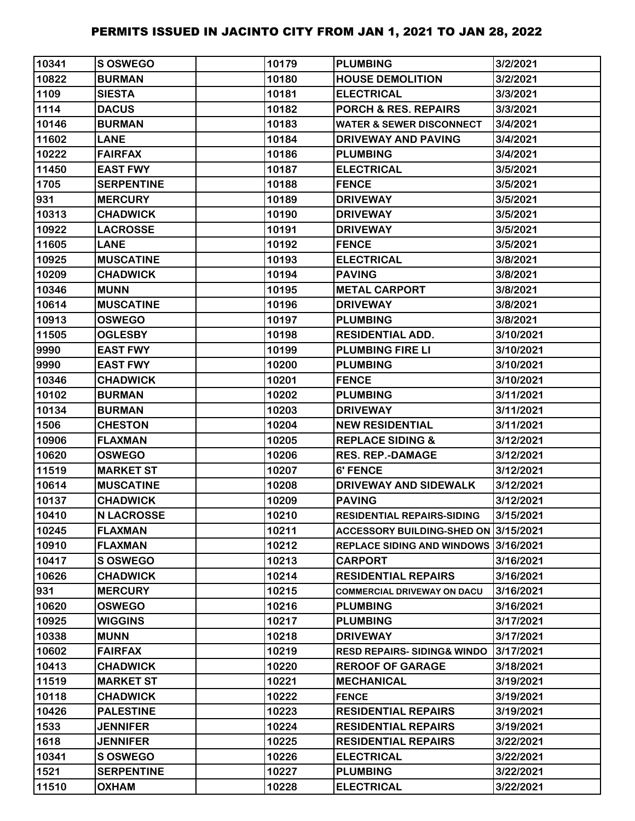| 10341 | S OSWEGO          | 10179 | <b>PLUMBING</b>                        | 3/2/2021  |
|-------|-------------------|-------|----------------------------------------|-----------|
| 10822 | <b>BURMAN</b>     | 10180 | <b>HOUSE DEMOLITION</b>                | 3/2/2021  |
| 1109  | <b>SIESTA</b>     | 10181 | <b>ELECTRICAL</b>                      | 3/3/2021  |
| 1114  | <b>DACUS</b>      | 10182 | <b>PORCH &amp; RES. REPAIRS</b>        | 3/3/2021  |
| 10146 | <b>BURMAN</b>     | 10183 | <b>WATER &amp; SEWER DISCONNECT</b>    | 3/4/2021  |
| 11602 | <b>LANE</b>       | 10184 | <b>DRIVEWAY AND PAVING</b>             | 3/4/2021  |
| 10222 | <b>FAIRFAX</b>    | 10186 | <b>PLUMBING</b>                        | 3/4/2021  |
| 11450 | <b>EAST FWY</b>   | 10187 | <b>ELECTRICAL</b>                      | 3/5/2021  |
| 1705  | <b>SERPENTINE</b> | 10188 | <b>FENCE</b>                           | 3/5/2021  |
| 931   | <b>MERCURY</b>    | 10189 | <b>DRIVEWAY</b>                        | 3/5/2021  |
| 10313 | <b>CHADWICK</b>   | 10190 | <b>DRIVEWAY</b>                        | 3/5/2021  |
| 10922 | <b>LACROSSE</b>   | 10191 | <b>DRIVEWAY</b>                        | 3/5/2021  |
| 11605 | <b>LANE</b>       | 10192 | <b>FENCE</b>                           | 3/5/2021  |
| 10925 | <b>MUSCATINE</b>  | 10193 | <b>ELECTRICAL</b>                      | 3/8/2021  |
| 10209 | <b>CHADWICK</b>   | 10194 | <b>PAVING</b>                          | 3/8/2021  |
| 10346 | <b>MUNN</b>       | 10195 | <b>METAL CARPORT</b>                   | 3/8/2021  |
| 10614 | <b>MUSCATINE</b>  | 10196 | <b>DRIVEWAY</b>                        | 3/8/2021  |
| 10913 | <b>OSWEGO</b>     | 10197 | <b>PLUMBING</b>                        | 3/8/2021  |
| 11505 | <b>OGLESBY</b>    | 10198 | <b>RESIDENTIAL ADD.</b>                | 3/10/2021 |
| 9990  | <b>EAST FWY</b>   | 10199 | <b>PLUMBING FIRE LI</b>                | 3/10/2021 |
| 9990  | <b>EAST FWY</b>   | 10200 | <b>PLUMBING</b>                        | 3/10/2021 |
| 10346 | <b>CHADWICK</b>   | 10201 | <b>FENCE</b>                           | 3/10/2021 |
| 10102 | <b>BURMAN</b>     | 10202 | <b>PLUMBING</b>                        | 3/11/2021 |
| 10134 | <b>BURMAN</b>     | 10203 | <b>DRIVEWAY</b>                        | 3/11/2021 |
| 1506  | <b>CHESTON</b>    | 10204 | <b>NEW RESIDENTIAL</b>                 | 3/11/2021 |
| 10906 | <b>FLAXMAN</b>    | 10205 | <b>REPLACE SIDING &amp;</b>            | 3/12/2021 |
| 10620 | <b>OSWEGO</b>     | 10206 | <b>RES. REP.-DAMAGE</b>                | 3/12/2021 |
| 11519 | <b>MARKET ST</b>  | 10207 | 6' FENCE                               | 3/12/2021 |
| 10614 | <b>MUSCATINE</b>  | 10208 | DRIVEWAY AND SIDEWALK                  | 3/12/2021 |
| 10137 | <b>CHADWICK</b>   | 10209 | <b>PAVING</b>                          | 3/12/2021 |
| 10410 | <b>N LACROSSE</b> | 10210 | <b>RESIDENTIAL REPAIRS-SIDING</b>      | 3/15/2021 |
| 10245 | <b>FLAXMAN</b>    | 10211 | ACCESSORY BUILDING-SHED ON 3/15/2021   |           |
| 10910 | <b>FLAXMAN</b>    | 10212 | REPLACE SIDING AND WINDOWS 3/16/2021   |           |
| 10417 | <b>S OSWEGO</b>   | 10213 | <b>CARPORT</b>                         | 3/16/2021 |
| 10626 | <b>CHADWICK</b>   | 10214 | <b>RESIDENTIAL REPAIRS</b>             | 3/16/2021 |
| 931   | <b>MERCURY</b>    | 10215 | <b>COMMERCIAL DRIVEWAY ON DACU</b>     | 3/16/2021 |
| 10620 | <b>OSWEGO</b>     | 10216 | <b>PLUMBING</b>                        | 3/16/2021 |
| 10925 | <b>WIGGINS</b>    | 10217 | <b>PLUMBING</b>                        | 3/17/2021 |
| 10338 | <b>MUNN</b>       | 10218 | <b>DRIVEWAY</b>                        | 3/17/2021 |
| 10602 | <b>FAIRFAX</b>    | 10219 | <b>RESD REPAIRS- SIDING&amp; WINDO</b> | 3/17/2021 |
| 10413 | <b>CHADWICK</b>   | 10220 | <b>REROOF OF GARAGE</b>                | 3/18/2021 |
| 11519 | <b>MARKET ST</b>  | 10221 | <b>MECHANICAL</b>                      | 3/19/2021 |
| 10118 | <b>CHADWICK</b>   | 10222 | <b>FENCE</b>                           | 3/19/2021 |
| 10426 | <b>PALESTINE</b>  | 10223 | <b>RESIDENTIAL REPAIRS</b>             | 3/19/2021 |
| 1533  | <b>JENNIFER</b>   | 10224 | <b>RESIDENTIAL REPAIRS</b>             | 3/19/2021 |
| 1618  | <b>JENNIFER</b>   | 10225 | <b>RESIDENTIAL REPAIRS</b>             | 3/22/2021 |
| 10341 | <b>S OSWEGO</b>   | 10226 | <b>ELECTRICAL</b>                      | 3/22/2021 |
| 1521  | <b>SERPENTINE</b> | 10227 | <b>PLUMBING</b>                        | 3/22/2021 |
| 11510 | <b>OXHAM</b>      | 10228 | <b>ELECTRICAL</b>                      | 3/22/2021 |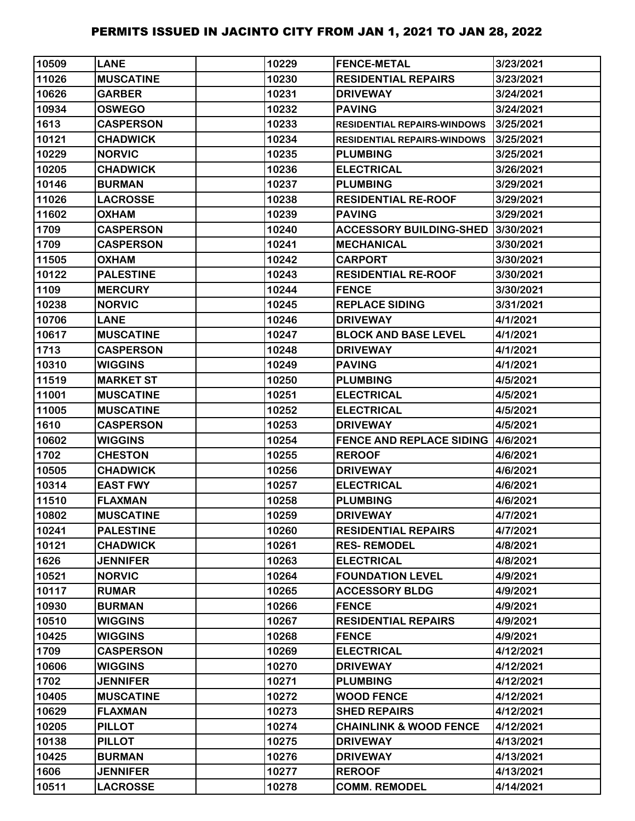| 10509 | <b>LANE</b>      | 10229 | <b>FENCE-METAL</b>                        | 3/23/2021 |
|-------|------------------|-------|-------------------------------------------|-----------|
| 11026 | <b>MUSCATINE</b> | 10230 | <b>RESIDENTIAL REPAIRS</b>                | 3/23/2021 |
| 10626 | <b>GARBER</b>    | 10231 | <b>DRIVEWAY</b>                           | 3/24/2021 |
| 10934 | <b>OSWEGO</b>    | 10232 | <b>PAVING</b>                             | 3/24/2021 |
| 1613  | <b>CASPERSON</b> | 10233 | <b>RESIDENTIAL REPAIRS-WINDOWS</b>        | 3/25/2021 |
| 10121 | <b>CHADWICK</b>  | 10234 | <b>RESIDENTIAL REPAIRS-WINDOWS</b>        | 3/25/2021 |
| 10229 | <b>NORVIC</b>    | 10235 | <b>PLUMBING</b>                           | 3/25/2021 |
| 10205 | <b>CHADWICK</b>  | 10236 | <b>ELECTRICAL</b>                         | 3/26/2021 |
| 10146 | <b>BURMAN</b>    | 10237 | <b>PLUMBING</b>                           | 3/29/2021 |
| 11026 | <b>LACROSSE</b>  | 10238 | <b>RESIDENTIAL RE-ROOF</b>                | 3/29/2021 |
| 11602 | <b>OXHAM</b>     | 10239 | <b>PAVING</b>                             | 3/29/2021 |
| 1709  | <b>CASPERSON</b> | 10240 | <b>ACCESSORY BUILDING-SHED</b>            | 3/30/2021 |
| 1709  | <b>CASPERSON</b> | 10241 | <b>MECHANICAL</b>                         | 3/30/2021 |
| 11505 | <b>OXHAM</b>     | 10242 | <b>CARPORT</b>                            | 3/30/2021 |
| 10122 | <b>PALESTINE</b> | 10243 | <b>RESIDENTIAL RE-ROOF</b>                | 3/30/2021 |
| 1109  | <b>MERCURY</b>   | 10244 | <b>FENCE</b>                              | 3/30/2021 |
| 10238 | <b>NORVIC</b>    | 10245 | <b>REPLACE SIDING</b>                     | 3/31/2021 |
| 10706 | <b>LANE</b>      | 10246 | <b>DRIVEWAY</b>                           | 4/1/2021  |
| 10617 | <b>MUSCATINE</b> | 10247 | <b>BLOCK AND BASE LEVEL</b>               | 4/1/2021  |
| 1713  | <b>CASPERSON</b> | 10248 | <b>DRIVEWAY</b>                           | 4/1/2021  |
| 10310 | <b>WIGGINS</b>   | 10249 | <b>PAVING</b>                             | 4/1/2021  |
| 11519 | <b>MARKET ST</b> | 10250 | <b>PLUMBING</b>                           | 4/5/2021  |
| 11001 | <b>MUSCATINE</b> | 10251 | <b>ELECTRICAL</b>                         | 4/5/2021  |
| 11005 | <b>MUSCATINE</b> | 10252 | <b>ELECTRICAL</b>                         | 4/5/2021  |
| 1610  | <b>CASPERSON</b> | 10253 | <b>DRIVEWAY</b>                           | 4/5/2021  |
| 10602 | <b>WIGGINS</b>   | 10254 | <b>FENCE AND REPLACE SIDING 14/6/2021</b> |           |
| 1702  | <b>CHESTON</b>   | 10255 | <b>REROOF</b>                             | 4/6/2021  |
| 10505 | <b>CHADWICK</b>  | 10256 | <b>DRIVEWAY</b>                           | 4/6/2021  |
| 10314 | <b>EAST FWY</b>  | 10257 | <b>ELECTRICAL</b>                         | 4/6/2021  |
| 11510 | <b>FLAXMAN</b>   | 10258 | <b>PLUMBING</b>                           | 4/6/2021  |
| 10802 | <b>MUSCATINE</b> | 10259 | <b>DRIVEWAY</b>                           | 4/7/2021  |
| 10241 | <b>PALESTINE</b> | 10260 | <b>RESIDENTIAL REPAIRS</b>                | 4/7/2021  |
| 10121 | <b>CHADWICK</b>  | 10261 | <b>RES-REMODEL</b>                        | 4/8/2021  |
| 1626  | <b>JENNIFER</b>  | 10263 | <b>ELECTRICAL</b>                         | 4/8/2021  |
| 10521 | <b>NORVIC</b>    | 10264 | <b>FOUNDATION LEVEL</b>                   | 4/9/2021  |
| 10117 | <b>RUMAR</b>     | 10265 | <b>ACCESSORY BLDG</b>                     | 4/9/2021  |
| 10930 | <b>BURMAN</b>    | 10266 | <b>FENCE</b>                              | 4/9/2021  |
| 10510 | <b>WIGGINS</b>   | 10267 | <b>RESIDENTIAL REPAIRS</b>                | 4/9/2021  |
| 10425 | <b>WIGGINS</b>   | 10268 | <b>FENCE</b>                              | 4/9/2021  |
| 1709  | <b>CASPERSON</b> | 10269 | <b>ELECTRICAL</b>                         | 4/12/2021 |
| 10606 | <b>WIGGINS</b>   | 10270 | <b>DRIVEWAY</b>                           | 4/12/2021 |
| 1702  | <b>JENNIFER</b>  | 10271 | <b>PLUMBING</b>                           | 4/12/2021 |
| 10405 | <b>MUSCATINE</b> | 10272 | <b>WOOD FENCE</b>                         | 4/12/2021 |
| 10629 | <b>FLAXMAN</b>   | 10273 | <b>SHED REPAIRS</b>                       | 4/12/2021 |
| 10205 | <b>PILLOT</b>    | 10274 | <b>CHAINLINK &amp; WOOD FENCE</b>         | 4/12/2021 |
| 10138 | <b>PILLOT</b>    | 10275 | <b>DRIVEWAY</b>                           | 4/13/2021 |
| 10425 | <b>BURMAN</b>    | 10276 | <b>DRIVEWAY</b>                           | 4/13/2021 |
| 1606  | <b>JENNIFER</b>  | 10277 | <b>REROOF</b>                             | 4/13/2021 |
| 10511 | <b>LACROSSE</b>  | 10278 | <b>COMM. REMODEL</b>                      | 4/14/2021 |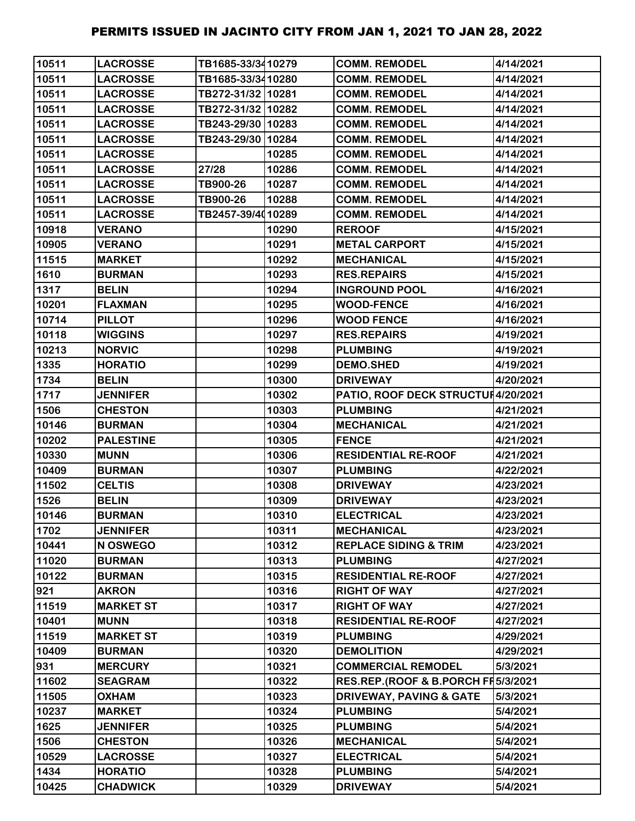| 10511 | <b>LACROSSE</b>  | TB1685-33/3410279 |       | <b>COMM. REMODEL</b>               | 4/14/2021 |
|-------|------------------|-------------------|-------|------------------------------------|-----------|
| 10511 | <b>LACROSSE</b>  | TB1685-33/3410280 |       | <b>COMM. REMODEL</b>               | 4/14/2021 |
| 10511 | <b>LACROSSE</b>  | TB272-31/32 10281 |       | <b>COMM. REMODEL</b>               | 4/14/2021 |
| 10511 | <b>LACROSSE</b>  | TB272-31/32 10282 |       | <b>COMM. REMODEL</b>               | 4/14/2021 |
| 10511 | <b>LACROSSE</b>  | TB243-29/30 10283 |       | <b>COMM. REMODEL</b>               | 4/14/2021 |
| 10511 | <b>LACROSSE</b>  | TB243-29/30 10284 |       | <b>COMM. REMODEL</b>               | 4/14/2021 |
| 10511 | <b>LACROSSE</b>  |                   | 10285 | <b>COMM. REMODEL</b>               | 4/14/2021 |
| 10511 | <b>LACROSSE</b>  | 27/28             | 10286 | <b>COMM. REMODEL</b>               | 4/14/2021 |
| 10511 | <b>LACROSSE</b>  | TB900-26          | 10287 | <b>COMM. REMODEL</b>               | 4/14/2021 |
| 10511 | <b>LACROSSE</b>  | TB900-26          | 10288 | <b>COMM. REMODEL</b>               | 4/14/2021 |
| 10511 | <b>LACROSSE</b>  | TB2457-39/4010289 |       | <b>COMM. REMODEL</b>               | 4/14/2021 |
| 10918 | <b>VERANO</b>    |                   | 10290 | <b>REROOF</b>                      | 4/15/2021 |
| 10905 | <b>VERANO</b>    |                   | 10291 | <b>METAL CARPORT</b>               | 4/15/2021 |
| 11515 | <b>MARKET</b>    |                   | 10292 | <b>MECHANICAL</b>                  | 4/15/2021 |
| 1610  | <b>BURMAN</b>    |                   | 10293 | <b>RES.REPAIRS</b>                 | 4/15/2021 |
| 1317  | <b>BELIN</b>     |                   | 10294 | <b>INGROUND POOL</b>               | 4/16/2021 |
| 10201 | <b>FLAXMAN</b>   |                   | 10295 | <b>WOOD-FENCE</b>                  | 4/16/2021 |
| 10714 | <b>PILLOT</b>    |                   | 10296 | <b>WOOD FENCE</b>                  | 4/16/2021 |
| 10118 | <b>WIGGINS</b>   |                   | 10297 | <b>RES.REPAIRS</b>                 | 4/19/2021 |
| 10213 | <b>NORVIC</b>    |                   | 10298 | <b>PLUMBING</b>                    | 4/19/2021 |
| 1335  | <b>HORATIO</b>   |                   | 10299 | <b>DEMO.SHED</b>                   | 4/19/2021 |
| 1734  | <b>BELIN</b>     |                   | 10300 | <b>DRIVEWAY</b>                    | 4/20/2021 |
| 1717  | <b>JENNIFER</b>  |                   | 10302 | PATIO, ROOF DECK STRUCTUH4/20/2021 |           |
| 1506  | <b>CHESTON</b>   |                   | 10303 | <b>PLUMBING</b>                    | 4/21/2021 |
| 10146 | <b>BURMAN</b>    |                   | 10304 | <b>MECHANICAL</b>                  | 4/21/2021 |
| 10202 | <b>PALESTINE</b> |                   | 10305 | <b>FENCE</b>                       | 4/21/2021 |
| 10330 | <b>MUNN</b>      |                   | 10306 | <b>RESIDENTIAL RE-ROOF</b>         | 4/21/2021 |
| 10409 | <b>BURMAN</b>    |                   | 10307 | <b>PLUMBING</b>                    | 4/22/2021 |
| 11502 | <b>CELTIS</b>    |                   | 10308 | <b>DRIVEWAY</b>                    | 4/23/2021 |
| 1526  | <b>BELIN</b>     |                   | 10309 | <b>DRIVEWAY</b>                    | 4/23/2021 |
| 10146 | <b>BURMAN</b>    |                   | 10310 | <b>ELECTRICAL</b>                  | 4/23/2021 |
| 1702  | <b>JENNIFER</b>  |                   | 10311 | <b>MECHANICAL</b>                  | 4/23/2021 |
| 10441 | N OSWEGO         |                   | 10312 | <b>REPLACE SIDING &amp; TRIM</b>   | 4/23/2021 |
| 11020 | <b>BURMAN</b>    |                   | 10313 | <b>PLUMBING</b>                    | 4/27/2021 |
| 10122 | <b>BURMAN</b>    |                   | 10315 | <b>RESIDENTIAL RE-ROOF</b>         | 4/27/2021 |
| 921   | <b>AKRON</b>     |                   | 10316 | <b>RIGHT OF WAY</b>                | 4/27/2021 |
| 11519 | <b>MARKET ST</b> |                   | 10317 | <b>RIGHT OF WAY</b>                | 4/27/2021 |
| 10401 | <b>MUNN</b>      |                   | 10318 | <b>RESIDENTIAL RE-ROOF</b>         | 4/27/2021 |
| 11519 | <b>MARKET ST</b> |                   | 10319 | <b>PLUMBING</b>                    | 4/29/2021 |
| 10409 | <b>BURMAN</b>    |                   | 10320 | <b>DEMOLITION</b>                  | 4/29/2021 |
| 931   | <b>MERCURY</b>   |                   | 10321 | <b>COMMERCIAL REMODEL</b>          | 5/3/2021  |
| 11602 | <b>SEAGRAM</b>   |                   | 10322 | RES.REP.(ROOF & B.PORCH FH5/3/2021 |           |
| 11505 | <b>OXHAM</b>     |                   | 10323 | <b>DRIVEWAY, PAVING &amp; GATE</b> | 5/3/2021  |
| 10237 | <b>MARKET</b>    |                   | 10324 | <b>PLUMBING</b>                    | 5/4/2021  |
| 1625  | <b>JENNIFER</b>  |                   | 10325 | <b>PLUMBING</b>                    | 5/4/2021  |
| 1506  | <b>CHESTON</b>   |                   | 10326 | <b>MECHANICAL</b>                  | 5/4/2021  |
| 10529 | <b>LACROSSE</b>  |                   | 10327 | <b>ELECTRICAL</b>                  | 5/4/2021  |
| 1434  | <b>HORATIO</b>   |                   | 10328 | <b>PLUMBING</b>                    | 5/4/2021  |
| 10425 | <b>CHADWICK</b>  |                   | 10329 | <b>DRIVEWAY</b>                    | 5/4/2021  |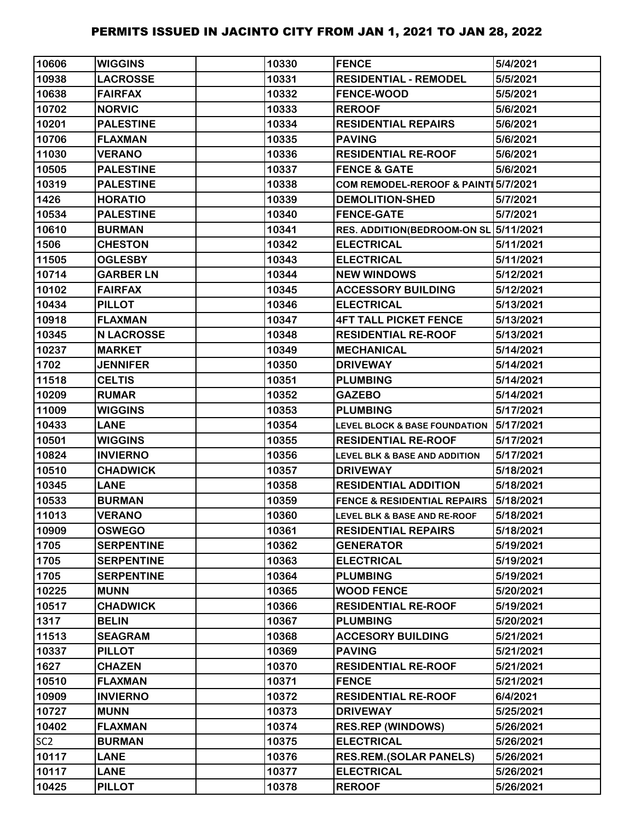| 10606           | <b>WIGGINS</b>    | 10330 | <b>FENCE</b>                             | 5/4/2021  |
|-----------------|-------------------|-------|------------------------------------------|-----------|
| 10938           | <b>LACROSSE</b>   | 10331 | <b>RESIDENTIAL - REMODEL</b>             | 5/5/2021  |
| 10638           | <b>FAIRFAX</b>    | 10332 | <b>FENCE-WOOD</b>                        | 5/5/2021  |
| 10702           | <b>NORVIC</b>     | 10333 | <b>REROOF</b>                            | 5/6/2021  |
| 10201           | <b>PALESTINE</b>  | 10334 | <b>RESIDENTIAL REPAIRS</b>               | 5/6/2021  |
| 10706           | <b>FLAXMAN</b>    | 10335 | <b>PAVING</b>                            | 5/6/2021  |
| 11030           | <b>VERANO</b>     | 10336 | <b>RESIDENTIAL RE-ROOF</b>               | 5/6/2021  |
| 10505           | <b>PALESTINE</b>  | 10337 | <b>FENCE &amp; GATE</b>                  | 5/6/2021  |
| 10319           | <b>PALESTINE</b>  | 10338 | COM REMODEL-REROOF & PAINT 5/7/2021      |           |
| 1426            | <b>HORATIO</b>    | 10339 | <b>DEMOLITION-SHED</b>                   | 5/7/2021  |
| 10534           | <b>PALESTINE</b>  | 10340 | <b>FENCE-GATE</b>                        | 5/7/2021  |
| 10610           | <b>BURMAN</b>     | 10341 | RES. ADDITION(BEDROOM-ON SL 5/11/2021    |           |
| 1506            | <b>CHESTON</b>    | 10342 | <b>ELECTRICAL</b>                        | 5/11/2021 |
| 11505           | <b>OGLESBY</b>    | 10343 | <b>ELECTRICAL</b>                        | 5/11/2021 |
| 10714           | <b>GARBER LN</b>  | 10344 | <b>NEW WINDOWS</b>                       | 5/12/2021 |
| 10102           | <b>FAIRFAX</b>    | 10345 | <b>ACCESSORY BUILDING</b>                | 5/12/2021 |
| 10434           | <b>PILLOT</b>     | 10346 | <b>ELECTRICAL</b>                        | 5/13/2021 |
| 10918           | <b>FLAXMAN</b>    | 10347 | <b>4FT TALL PICKET FENCE</b>             | 5/13/2021 |
| 10345           | <b>N LACROSSE</b> | 10348 | <b>RESIDENTIAL RE-ROOF</b>               | 5/13/2021 |
| 10237           | <b>MARKET</b>     | 10349 | <b>MECHANICAL</b>                        | 5/14/2021 |
| 1702            | <b>JENNIFER</b>   | 10350 | <b>DRIVEWAY</b>                          | 5/14/2021 |
| 11518           | <b>CELTIS</b>     | 10351 | <b>PLUMBING</b>                          | 5/14/2021 |
| 10209           | <b>RUMAR</b>      | 10352 | <b>GAZEBO</b>                            | 5/14/2021 |
| 11009           | <b>WIGGINS</b>    | 10353 | <b>PLUMBING</b>                          | 5/17/2021 |
| 10433           | <b>LANE</b>       | 10354 | <b>LEVEL BLOCK &amp; BASE FOUNDATION</b> | 5/17/2021 |
| 10501           | <b>WIGGINS</b>    | 10355 | <b>RESIDENTIAL RE-ROOF</b>               | 5/17/2021 |
| 10824           | <b>INVIERNO</b>   | 10356 | <b>LEVEL BLK &amp; BASE AND ADDITION</b> | 5/17/2021 |
| 10510           | <b>CHADWICK</b>   | 10357 | <b>DRIVEWAY</b>                          | 5/18/2021 |
| 10345           | <b>LANE</b>       | 10358 | <b>RESIDENTIAL ADDITION</b>              | 5/18/2021 |
| 10533           | <b>BURMAN</b>     | 10359 | <b>FENCE &amp; RESIDENTIAL REPAIRS</b>   | 5/18/2021 |
| 11013           | <b>VERANO</b>     | 10360 | LEVEL BLK & BASE AND RE-ROOF             | 5/18/2021 |
| 10909           | <b>OSWEGO</b>     | 10361 | <b>RESIDENTIAL REPAIRS</b>               | 5/18/2021 |
| 1705            | <b>SERPENTINE</b> | 10362 | <b>GENERATOR</b>                         | 5/19/2021 |
| 1705            | <b>SERPENTINE</b> | 10363 | <b>ELECTRICAL</b>                        | 5/19/2021 |
| 1705            | <b>SERPENTINE</b> | 10364 | <b>PLUMBING</b>                          | 5/19/2021 |
| 10225           | <b>MUNN</b>       | 10365 | <b>WOOD FENCE</b>                        | 5/20/2021 |
| 10517           | <b>CHADWICK</b>   | 10366 | <b>RESIDENTIAL RE-ROOF</b>               | 5/19/2021 |
| 1317            | <b>BELIN</b>      | 10367 | <b>PLUMBING</b>                          | 5/20/2021 |
| 11513           | <b>SEAGRAM</b>    | 10368 | <b>ACCESORY BUILDING</b>                 | 5/21/2021 |
| 10337           | <b>PILLOT</b>     | 10369 | <b>PAVING</b>                            | 5/21/2021 |
| 1627            | <b>CHAZEN</b>     | 10370 | <b>RESIDENTIAL RE-ROOF</b>               | 5/21/2021 |
| 10510           | <b>FLAXMAN</b>    | 10371 | <b>FENCE</b>                             | 5/21/2021 |
| 10909           | <b>INVIERNO</b>   | 10372 | <b>RESIDENTIAL RE-ROOF</b>               | 6/4/2021  |
| 10727           | <b>MUNN</b>       | 10373 | <b>DRIVEWAY</b>                          | 5/25/2021 |
| 10402           | <b>FLAXMAN</b>    | 10374 | <b>RES.REP (WINDOWS)</b>                 | 5/26/2021 |
| SC <sub>2</sub> | <b>BURMAN</b>     | 10375 | <b>ELECTRICAL</b>                        | 5/26/2021 |
| 10117           | <b>LANE</b>       | 10376 | <b>RES.REM.(SOLAR PANELS)</b>            | 5/26/2021 |
| 10117           | <b>LANE</b>       | 10377 | <b>ELECTRICAL</b>                        | 5/26/2021 |
| 10425           | <b>PILLOT</b>     | 10378 | <b>REROOF</b>                            | 5/26/2021 |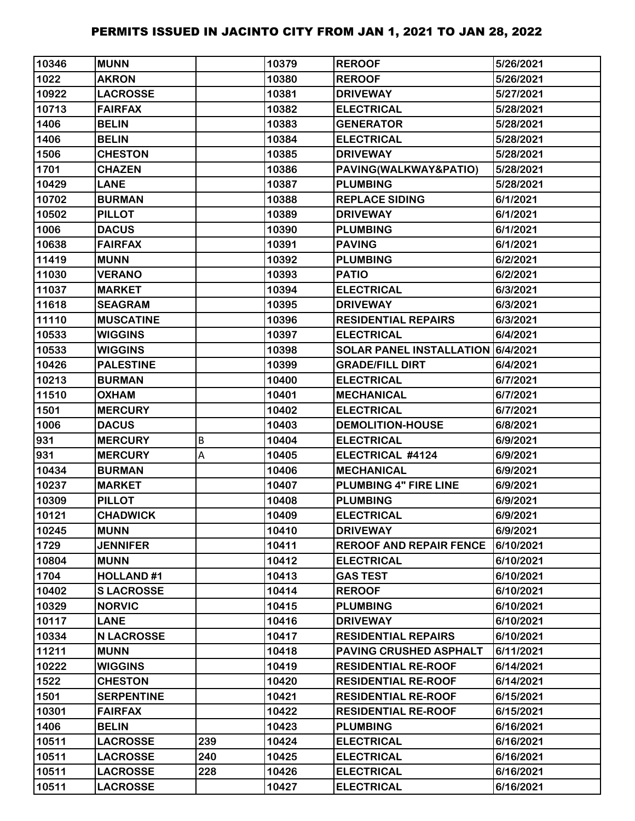| 10346 | <b>MUNN</b>       |     | 10379 | <b>REROOF</b>                     | 5/26/2021 |
|-------|-------------------|-----|-------|-----------------------------------|-----------|
| 1022  | <b>AKRON</b>      |     | 10380 | <b>REROOF</b>                     | 5/26/2021 |
| 10922 | <b>LACROSSE</b>   |     | 10381 | <b>DRIVEWAY</b>                   | 5/27/2021 |
| 10713 | <b>FAIRFAX</b>    |     | 10382 | <b>ELECTRICAL</b>                 | 5/28/2021 |
| 1406  | <b>BELIN</b>      |     | 10383 | <b>GENERATOR</b>                  | 5/28/2021 |
| 1406  | <b>BELIN</b>      |     | 10384 | <b>ELECTRICAL</b>                 | 5/28/2021 |
| 1506  | <b>CHESTON</b>    |     | 10385 | <b>DRIVEWAY</b>                   | 5/28/2021 |
| 1701  | <b>CHAZEN</b>     |     | 10386 | PAVING(WALKWAY&PATIO)             | 5/28/2021 |
| 10429 | <b>LANE</b>       |     | 10387 | <b>PLUMBING</b>                   | 5/28/2021 |
| 10702 | <b>BURMAN</b>     |     | 10388 | <b>REPLACE SIDING</b>             | 6/1/2021  |
| 10502 | <b>PILLOT</b>     |     | 10389 | <b>DRIVEWAY</b>                   | 6/1/2021  |
| 1006  | <b>DACUS</b>      |     | 10390 | <b>PLUMBING</b>                   | 6/1/2021  |
| 10638 | <b>FAIRFAX</b>    |     | 10391 | <b>PAVING</b>                     | 6/1/2021  |
| 11419 | <b>MUNN</b>       |     | 10392 | <b>PLUMBING</b>                   | 6/2/2021  |
| 11030 | <b>VERANO</b>     |     | 10393 | <b>PATIO</b>                      | 6/2/2021  |
| 11037 | <b>MARKET</b>     |     | 10394 | <b>ELECTRICAL</b>                 | 6/3/2021  |
| 11618 | <b>SEAGRAM</b>    |     | 10395 | <b>DRIVEWAY</b>                   | 6/3/2021  |
| 11110 | <b>MUSCATINE</b>  |     | 10396 | <b>RESIDENTIAL REPAIRS</b>        | 6/3/2021  |
| 10533 | <b>WIGGINS</b>    |     | 10397 | <b>ELECTRICAL</b>                 | 6/4/2021  |
| 10533 | <b>WIGGINS</b>    |     | 10398 | SOLAR PANEL INSTALLATION 6/4/2021 |           |
| 10426 | <b>PALESTINE</b>  |     | 10399 | <b>GRADE/FILL DIRT</b>            | 6/4/2021  |
| 10213 | <b>BURMAN</b>     |     | 10400 | <b>ELECTRICAL</b>                 | 6/7/2021  |
| 11510 | <b>OXHAM</b>      |     | 10401 | <b>MECHANICAL</b>                 | 6/7/2021  |
| 1501  | <b>MERCURY</b>    |     | 10402 | <b>ELECTRICAL</b>                 | 6/7/2021  |
| 1006  | <b>DACUS</b>      |     | 10403 | <b>DEMOLITION-HOUSE</b>           | 6/8/2021  |
| 931   | <b>MERCURY</b>    | B   | 10404 | <b>ELECTRICAL</b>                 | 6/9/2021  |
| 931   | <b>MERCURY</b>    | A   | 10405 | ELECTRICAL #4124                  | 6/9/2021  |
| 10434 | <b>BURMAN</b>     |     | 10406 | <b>MECHANICAL</b>                 | 6/9/2021  |
| 10237 | <b>MARKET</b>     |     | 10407 | PLUMBING 4" FIRE LINE             | 6/9/2021  |
| 10309 | <b>PILLOT</b>     |     | 10408 | <b>PLUMBING</b>                   | 6/9/2021  |
| 10121 | <b>CHADWICK</b>   |     | 10409 | <b>ELECTRICAL</b>                 | 6/9/2021  |
| 10245 | <b>MUNN</b>       |     | 10410 | <b>DRIVEWAY</b>                   | 6/9/2021  |
| 1729  | <b>JENNIFER</b>   |     | 10411 | <b>REROOF AND REPAIR FENCE</b>    | 6/10/2021 |
| 10804 | <b>MUNN</b>       |     | 10412 | <b>ELECTRICAL</b>                 | 6/10/2021 |
| 1704  | <b>HOLLAND#1</b>  |     | 10413 | <b>GAS TEST</b>                   | 6/10/2021 |
| 10402 | <b>SLACROSSE</b>  |     | 10414 | <b>REROOF</b>                     | 6/10/2021 |
| 10329 | <b>NORVIC</b>     |     | 10415 | <b>PLUMBING</b>                   | 6/10/2021 |
| 10117 | <b>LANE</b>       |     | 10416 | <b>DRIVEWAY</b>                   | 6/10/2021 |
| 10334 | <b>N LACROSSE</b> |     | 10417 | <b>RESIDENTIAL REPAIRS</b>        | 6/10/2021 |
| 11211 | <b>MUNN</b>       |     | 10418 | <b>PAVING CRUSHED ASPHALT</b>     | 6/11/2021 |
| 10222 | <b>WIGGINS</b>    |     | 10419 | <b>RESIDENTIAL RE-ROOF</b>        | 6/14/2021 |
| 1522  | <b>CHESTON</b>    |     | 10420 | <b>RESIDENTIAL RE-ROOF</b>        | 6/14/2021 |
| 1501  | <b>SERPENTINE</b> |     | 10421 | <b>RESIDENTIAL RE-ROOF</b>        | 6/15/2021 |
| 10301 | <b>FAIRFAX</b>    |     | 10422 | <b>RESIDENTIAL RE-ROOF</b>        | 6/15/2021 |
| 1406  | <b>BELIN</b>      |     | 10423 | <b>PLUMBING</b>                   | 6/16/2021 |
| 10511 | <b>LACROSSE</b>   | 239 | 10424 | <b>ELECTRICAL</b>                 | 6/16/2021 |
| 10511 | <b>LACROSSE</b>   | 240 | 10425 | <b>ELECTRICAL</b>                 | 6/16/2021 |
| 10511 | <b>LACROSSE</b>   | 228 | 10426 | <b>ELECTRICAL</b>                 | 6/16/2021 |
| 10511 | <b>LACROSSE</b>   |     | 10427 | <b>ELECTRICAL</b>                 | 6/16/2021 |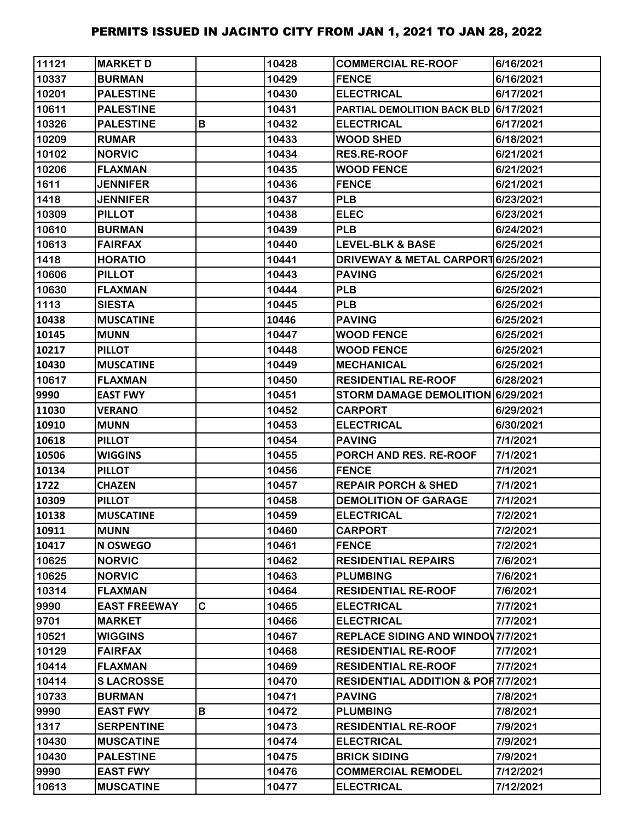| 11121 | <b>MARKET D</b>     |   | 10428 | <b>COMMERCIAL RE-ROOF</b>                     | 6/16/2021 |
|-------|---------------------|---|-------|-----------------------------------------------|-----------|
| 10337 | <b>BURMAN</b>       |   | 10429 | <b>FENCE</b>                                  | 6/16/2021 |
| 10201 | <b>PALESTINE</b>    |   | 10430 | <b>ELECTRICAL</b>                             | 6/17/2021 |
| 10611 | <b>PALESTINE</b>    |   | 10431 | PARTIAL DEMOLITION BACK BLD 6/17/2021         |           |
| 10326 | <b>PALESTINE</b>    | B | 10432 | <b>ELECTRICAL</b>                             | 6/17/2021 |
| 10209 | <b>RUMAR</b>        |   | 10433 | <b>WOOD SHED</b>                              | 6/18/2021 |
| 10102 | <b>NORVIC</b>       |   | 10434 | <b>RES.RE-ROOF</b>                            | 6/21/2021 |
| 10206 | <b>FLAXMAN</b>      |   | 10435 | <b>WOOD FENCE</b>                             | 6/21/2021 |
| 1611  | <b>JENNIFER</b>     |   | 10436 | <b>FENCE</b>                                  | 6/21/2021 |
| 1418  | <b>JENNIFER</b>     |   | 10437 | <b>PLB</b>                                    | 6/23/2021 |
| 10309 | <b>PILLOT</b>       |   | 10438 | <b>ELEC</b>                                   | 6/23/2021 |
| 10610 | <b>BURMAN</b>       |   | 10439 | <b>PLB</b>                                    | 6/24/2021 |
| 10613 | <b>FAIRFAX</b>      |   | 10440 | <b>LEVEL-BLK &amp; BASE</b>                   | 6/25/2021 |
| 1418  | <b>HORATIO</b>      |   | 10441 | DRIVEWAY & METAL CARPORT 6/25/2021            |           |
| 10606 | <b>PILLOT</b>       |   | 10443 | <b>PAVING</b>                                 | 6/25/2021 |
| 10630 | <b>FLAXMAN</b>      |   | 10444 | <b>PLB</b>                                    | 6/25/2021 |
| 1113  | <b>SIESTA</b>       |   | 10445 | <b>PLB</b>                                    | 6/25/2021 |
| 10438 | <b>MUSCATINE</b>    |   | 10446 | <b>PAVING</b>                                 | 6/25/2021 |
| 10145 | <b>MUNN</b>         |   | 10447 | <b>WOOD FENCE</b>                             | 6/25/2021 |
| 10217 | <b>PILLOT</b>       |   | 10448 | <b>WOOD FENCE</b>                             | 6/25/2021 |
| 10430 | <b>MUSCATINE</b>    |   | 10449 | <b>MECHANICAL</b>                             | 6/25/2021 |
| 10617 | <b>FLAXMAN</b>      |   | 10450 | <b>RESIDENTIAL RE-ROOF</b>                    | 6/28/2021 |
| 9990  | <b>EAST FWY</b>     |   | 10451 | STORM DAMAGE DEMOLITION 6/29/2021             |           |
| 11030 | <b>VERANO</b>       |   | 10452 | <b>CARPORT</b>                                | 6/29/2021 |
| 10910 | <b>MUNN</b>         |   | 10453 | <b>ELECTRICAL</b>                             | 6/30/2021 |
| 10618 | <b>PILLOT</b>       |   | 10454 | <b>PAVING</b>                                 | 7/1/2021  |
| 10506 | <b>WIGGINS</b>      |   | 10455 | PORCH AND RES. RE-ROOF                        | 7/1/2021  |
| 10134 | <b>PILLOT</b>       |   | 10456 | <b>FENCE</b>                                  | 7/1/2021  |
| 1722  | <b>CHAZEN</b>       |   | 10457 | <b>REPAIR PORCH &amp; SHED</b>                | 7/1/2021  |
| 10309 | <b>PILLOT</b>       |   | 10458 | <b>DEMOLITION OF GARAGE</b>                   | 7/1/2021  |
| 10138 | <b>MUSCATINE</b>    |   | 10459 | <b>ELECTRICAL</b>                             | 7/2/2021  |
| 10911 | <b>MUNN</b>         |   | 10460 | <b>CARPORT</b>                                | 7/2/2021  |
| 10417 | N OSWEGO            |   | 10461 | <b>FENCE</b>                                  | 7/2/2021  |
| 10625 | <b>NORVIC</b>       |   | 10462 | <b>RESIDENTIAL REPAIRS</b>                    | 7/6/2021  |
| 10625 | <b>NORVIC</b>       |   | 10463 | <b>PLUMBING</b>                               | 7/6/2021  |
| 10314 | <b>FLAXMAN</b>      |   | 10464 | <b>RESIDENTIAL RE-ROOF</b>                    | 7/6/2021  |
| 9990  | <b>EAST FREEWAY</b> | C | 10465 | <b>ELECTRICAL</b>                             | 7/7/2021  |
| 9701  | <b>MARKET</b>       |   | 10466 | <b>ELECTRICAL</b>                             | 7/7/2021  |
| 10521 | <b>WIGGINS</b>      |   | 10467 | <b>REPLACE SIDING AND WINDOV 7/7/2021</b>     |           |
| 10129 | <b>FAIRFAX</b>      |   | 10468 | <b>RESIDENTIAL RE-ROOF</b>                    | 7/7/2021  |
| 10414 | <b>FLAXMAN</b>      |   | 10469 | <b>RESIDENTIAL RE-ROOF</b>                    | 7/7/2021  |
| 10414 | <b>SLACROSSE</b>    |   | 10470 | <b>RESIDENTIAL ADDITION &amp; POR7/7/2021</b> |           |
| 10733 | <b>BURMAN</b>       |   | 10471 | <b>PAVING</b>                                 | 7/8/2021  |
| 9990  | <b>EAST FWY</b>     | В | 10472 | <b>PLUMBING</b>                               | 7/8/2021  |
| 1317  | <b>SERPENTINE</b>   |   | 10473 | <b>RESIDENTIAL RE-ROOF</b>                    | 7/9/2021  |
| 10430 | <b>MUSCATINE</b>    |   | 10474 | <b>ELECTRICAL</b>                             | 7/9/2021  |
| 10430 | <b>PALESTINE</b>    |   | 10475 | <b>BRICK SIDING</b>                           | 7/9/2021  |
| 9990  | <b>EAST FWY</b>     |   | 10476 | <b>COMMERCIAL REMODEL</b>                     | 7/12/2021 |
| 10613 | <b>MUSCATINE</b>    |   | 10477 | <b>ELECTRICAL</b>                             | 7/12/2021 |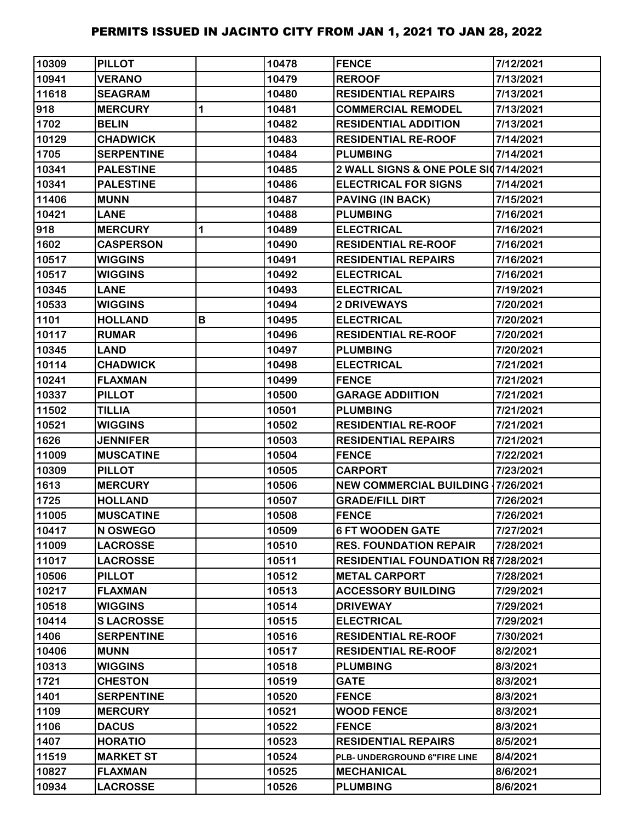| 10309 | <b>PILLOT</b>     |   | 10478 | <b>FENCE</b>                              | 7/12/2021 |
|-------|-------------------|---|-------|-------------------------------------------|-----------|
| 10941 | <b>VERANO</b>     |   | 10479 | <b>REROOF</b>                             | 7/13/2021 |
| 11618 | <b>SEAGRAM</b>    |   | 10480 | <b>RESIDENTIAL REPAIRS</b>                | 7/13/2021 |
| 918   | <b>MERCURY</b>    | 1 | 10481 | <b>COMMERCIAL REMODEL</b>                 | 7/13/2021 |
| 1702  | <b>BELIN</b>      |   | 10482 | <b>RESIDENTIAL ADDITION</b>               | 7/13/2021 |
| 10129 | <b>CHADWICK</b>   |   | 10483 | <b>RESIDENTIAL RE-ROOF</b>                | 7/14/2021 |
| 1705  | <b>SERPENTINE</b> |   | 10484 | <b>PLUMBING</b>                           | 7/14/2021 |
| 10341 | <b>PALESTINE</b>  |   | 10485 | 2 WALL SIGNS & ONE POLE SI07/14/2021      |           |
| 10341 | <b>PALESTINE</b>  |   | 10486 | <b>ELECTRICAL FOR SIGNS</b>               | 7/14/2021 |
| 11406 | <b>MUNN</b>       |   | 10487 | <b>PAVING (IN BACK)</b>                   | 7/15/2021 |
| 10421 | <b>LANE</b>       |   | 10488 | <b>PLUMBING</b>                           | 7/16/2021 |
| 918   | <b>MERCURY</b>    | 1 | 10489 | <b>ELECTRICAL</b>                         | 7/16/2021 |
| 1602  | <b>CASPERSON</b>  |   | 10490 | <b>RESIDENTIAL RE-ROOF</b>                | 7/16/2021 |
| 10517 | <b>WIGGINS</b>    |   | 10491 | <b>RESIDENTIAL REPAIRS</b>                | 7/16/2021 |
| 10517 | <b>WIGGINS</b>    |   | 10492 | <b>ELECTRICAL</b>                         | 7/16/2021 |
| 10345 | <b>LANE</b>       |   | 10493 | <b>ELECTRICAL</b>                         | 7/19/2021 |
| 10533 | <b>WIGGINS</b>    |   | 10494 | <b>2 DRIVEWAYS</b>                        | 7/20/2021 |
| 1101  | <b>HOLLAND</b>    | В | 10495 | <b>ELECTRICAL</b>                         | 7/20/2021 |
| 10117 | <b>RUMAR</b>      |   | 10496 | <b>RESIDENTIAL RE-ROOF</b>                | 7/20/2021 |
| 10345 | <b>LAND</b>       |   | 10497 | <b>PLUMBING</b>                           | 7/20/2021 |
| 10114 | <b>CHADWICK</b>   |   | 10498 | <b>ELECTRICAL</b>                         | 7/21/2021 |
| 10241 | <b>FLAXMAN</b>    |   | 10499 | <b>FENCE</b>                              | 7/21/2021 |
| 10337 | <b>PILLOT</b>     |   | 10500 | <b>GARAGE ADDIITION</b>                   | 7/21/2021 |
| 11502 | <b>TILLIA</b>     |   | 10501 | <b>PLUMBING</b>                           | 7/21/2021 |
| 10521 | <b>WIGGINS</b>    |   | 10502 | <b>RESIDENTIAL RE-ROOF</b>                | 7/21/2021 |
| 1626  | <b>JENNIFER</b>   |   | 10503 | <b>RESIDENTIAL REPAIRS</b>                | 7/21/2021 |
| 11009 | <b>MUSCATINE</b>  |   | 10504 | <b>FENCE</b>                              | 7/22/2021 |
| 10309 | <b>PILLOT</b>     |   | 10505 | <b>CARPORT</b>                            | 7/23/2021 |
| 1613  | <b>MERCURY</b>    |   | 10506 | <b>NEW COMMERCIAL BUILDING 17/26/2021</b> |           |
| 1725  | <b>HOLLAND</b>    |   | 10507 | <b>GRADE/FILL DIRT</b>                    | 7/26/2021 |
| 11005 | <b>MUSCATINE</b>  |   | 10508 | <b>FENCE</b>                              | 7/26/2021 |
| 10417 | N OSWEGO          |   | 10509 | <b>6 FT WOODEN GATE</b>                   | 7/27/2021 |
| 11009 | <b>LACROSSE</b>   |   | 10510 | <b>RES. FOUNDATION REPAIR</b>             | 7/28/2021 |
| 11017 | <b>LACROSSE</b>   |   | 10511 | <b>RESIDENTIAL FOUNDATION RE7/28/2021</b> |           |
| 10506 | <b>PILLOT</b>     |   | 10512 | <b>METAL CARPORT</b>                      | 7/28/2021 |
| 10217 | <b>FLAXMAN</b>    |   | 10513 | <b>ACCESSORY BUILDING</b>                 | 7/29/2021 |
| 10518 | <b>WIGGINS</b>    |   | 10514 | <b>DRIVEWAY</b>                           | 7/29/2021 |
| 10414 | <b>SLACROSSE</b>  |   | 10515 | <b>ELECTRICAL</b>                         | 7/29/2021 |
| 1406  | <b>SERPENTINE</b> |   | 10516 | <b>RESIDENTIAL RE-ROOF</b>                | 7/30/2021 |
| 10406 | <b>MUNN</b>       |   | 10517 | <b>RESIDENTIAL RE-ROOF</b>                | 8/2/2021  |
| 10313 | <b>WIGGINS</b>    |   | 10518 | <b>PLUMBING</b>                           | 8/3/2021  |
| 1721  | <b>CHESTON</b>    |   | 10519 | <b>GATE</b>                               | 8/3/2021  |
| 1401  | <b>SERPENTINE</b> |   | 10520 | <b>FENCE</b>                              | 8/3/2021  |
| 1109  | <b>MERCURY</b>    |   | 10521 | <b>WOOD FENCE</b>                         | 8/3/2021  |
| 1106  | <b>DACUS</b>      |   | 10522 | <b>FENCE</b>                              | 8/3/2021  |
| 1407  | <b>HORATIO</b>    |   | 10523 | <b>RESIDENTIAL REPAIRS</b>                | 8/5/2021  |
| 11519 | <b>MARKET ST</b>  |   | 10524 | PLB- UNDERGROUND 6"FIRE LINE              | 8/4/2021  |
| 10827 | <b>FLAXMAN</b>    |   | 10525 | <b>MECHANICAL</b>                         | 8/6/2021  |
| 10934 | <b>LACROSSE</b>   |   | 10526 | <b>PLUMBING</b>                           | 8/6/2021  |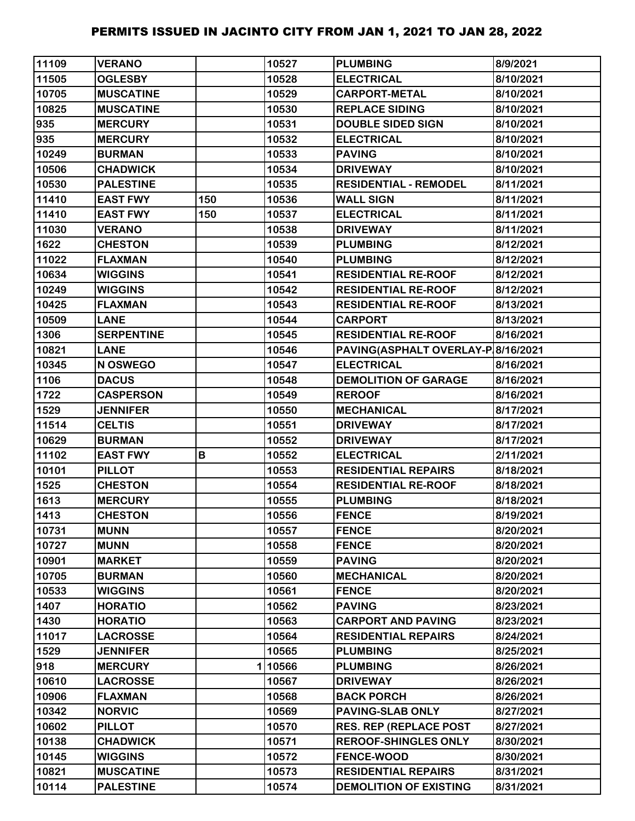| 11109 | <b>VERANO</b>     |     | 10527  | <b>PLUMBING</b>                    | 8/9/2021  |
|-------|-------------------|-----|--------|------------------------------------|-----------|
| 11505 | <b>OGLESBY</b>    |     | 10528  | <b>ELECTRICAL</b>                  | 8/10/2021 |
| 10705 | <b>MUSCATINE</b>  |     | 10529  | <b>CARPORT-METAL</b>               | 8/10/2021 |
| 10825 | <b>MUSCATINE</b>  |     | 10530  | <b>REPLACE SIDING</b>              | 8/10/2021 |
| 935   | <b>MERCURY</b>    |     | 10531  | <b>DOUBLE SIDED SIGN</b>           | 8/10/2021 |
| 935   | <b>MERCURY</b>    |     | 10532  | <b>ELECTRICAL</b>                  | 8/10/2021 |
| 10249 | <b>BURMAN</b>     |     | 10533  | <b>PAVING</b>                      | 8/10/2021 |
| 10506 | <b>CHADWICK</b>   |     | 10534  | <b>DRIVEWAY</b>                    | 8/10/2021 |
| 10530 | <b>PALESTINE</b>  |     | 10535  | <b>RESIDENTIAL - REMODEL</b>       | 8/11/2021 |
| 11410 | <b>EAST FWY</b>   | 150 | 10536  | <b>WALL SIGN</b>                   | 8/11/2021 |
| 11410 | <b>EAST FWY</b>   | 150 | 10537  | <b>ELECTRICAL</b>                  | 8/11/2021 |
| 11030 | <b>VERANO</b>     |     | 10538  | <b>DRIVEWAY</b>                    | 8/11/2021 |
| 1622  | <b>CHESTON</b>    |     | 10539  | <b>PLUMBING</b>                    | 8/12/2021 |
| 11022 | <b>FLAXMAN</b>    |     | 10540  | <b>PLUMBING</b>                    | 8/12/2021 |
| 10634 | <b>WIGGINS</b>    |     | 10541  | <b>RESIDENTIAL RE-ROOF</b>         | 8/12/2021 |
| 10249 | <b>WIGGINS</b>    |     | 10542  | <b>RESIDENTIAL RE-ROOF</b>         | 8/12/2021 |
| 10425 | <b>FLAXMAN</b>    |     | 10543  | <b>RESIDENTIAL RE-ROOF</b>         | 8/13/2021 |
| 10509 | <b>LANE</b>       |     | 10544  | <b>CARPORT</b>                     | 8/13/2021 |
| 1306  | <b>SERPENTINE</b> |     | 10545  | <b>RESIDENTIAL RE-ROOF</b>         | 8/16/2021 |
| 10821 | <b>LANE</b>       |     | 10546  | PAVING(ASPHALT OVERLAY-P 8/16/2021 |           |
| 10345 | N OSWEGO          |     | 10547  | <b>ELECTRICAL</b>                  | 8/16/2021 |
| 1106  | <b>DACUS</b>      |     | 10548  | <b>DEMOLITION OF GARAGE</b>        | 8/16/2021 |
| 1722  | <b>CASPERSON</b>  |     | 10549  | <b>REROOF</b>                      | 8/16/2021 |
| 1529  | <b>JENNIFER</b>   |     | 10550  | <b>MECHANICAL</b>                  | 8/17/2021 |
| 11514 | <b>CELTIS</b>     |     | 10551  | <b>DRIVEWAY</b>                    | 8/17/2021 |
| 10629 | <b>BURMAN</b>     |     | 10552  | <b>DRIVEWAY</b>                    | 8/17/2021 |
| 11102 | <b>EAST FWY</b>   | В   | 10552  | <b>ELECTRICAL</b>                  | 2/11/2021 |
| 10101 | <b>PILLOT</b>     |     | 10553  | <b>RESIDENTIAL REPAIRS</b>         | 8/18/2021 |
| 1525  | <b>CHESTON</b>    |     | 10554  | <b>RESIDENTIAL RE-ROOF</b>         | 8/18/2021 |
| 1613  | <b>MERCURY</b>    |     | 10555  | <b>PLUMBING</b>                    | 8/18/2021 |
| 1413  | <b>CHESTON</b>    |     | 10556  | <b>FENCE</b>                       | 8/19/2021 |
| 10731 | <b>MUNN</b>       |     | 10557  | <b>FENCE</b>                       | 8/20/2021 |
| 10727 | <b>MUNN</b>       |     | 10558  | <b>FENCE</b>                       | 8/20/2021 |
| 10901 | <b>MARKET</b>     |     | 10559  | <b>PAVING</b>                      | 8/20/2021 |
| 10705 | <b>BURMAN</b>     |     | 10560  | <b>MECHANICAL</b>                  | 8/20/2021 |
| 10533 | <b>WIGGINS</b>    |     | 10561  | <b>FENCE</b>                       | 8/20/2021 |
| 1407  | <b>HORATIO</b>    |     | 10562  | <b>PAVING</b>                      | 8/23/2021 |
| 1430  | <b>HORATIO</b>    |     | 10563  | <b>CARPORT AND PAVING</b>          | 8/23/2021 |
| 11017 | <b>LACROSSE</b>   |     | 10564  | <b>RESIDENTIAL REPAIRS</b>         | 8/24/2021 |
| 1529  | <b>JENNIFER</b>   |     | 10565  | <b>PLUMBING</b>                    | 8/25/2021 |
| 918   | <b>MERCURY</b>    |     | 110566 | <b>PLUMBING</b>                    | 8/26/2021 |
| 10610 | <b>LACROSSE</b>   |     | 10567  | <b>DRIVEWAY</b>                    | 8/26/2021 |
| 10906 | <b>FLAXMAN</b>    |     | 10568  | <b>BACK PORCH</b>                  | 8/26/2021 |
| 10342 | <b>NORVIC</b>     |     | 10569  | <b>PAVING-SLAB ONLY</b>            | 8/27/2021 |
| 10602 | <b>PILLOT</b>     |     | 10570  | <b>RES. REP (REPLACE POST</b>      | 8/27/2021 |
| 10138 | <b>CHADWICK</b>   |     | 10571  | <b>REROOF-SHINGLES ONLY</b>        | 8/30/2021 |
| 10145 | <b>WIGGINS</b>    |     | 10572  | <b>FENCE-WOOD</b>                  | 8/30/2021 |
| 10821 | <b>MUSCATINE</b>  |     | 10573  | <b>RESIDENTIAL REPAIRS</b>         | 8/31/2021 |
| 10114 | <b>PALESTINE</b>  |     | 10574  | <b>DEMOLITION OF EXISTING</b>      | 8/31/2021 |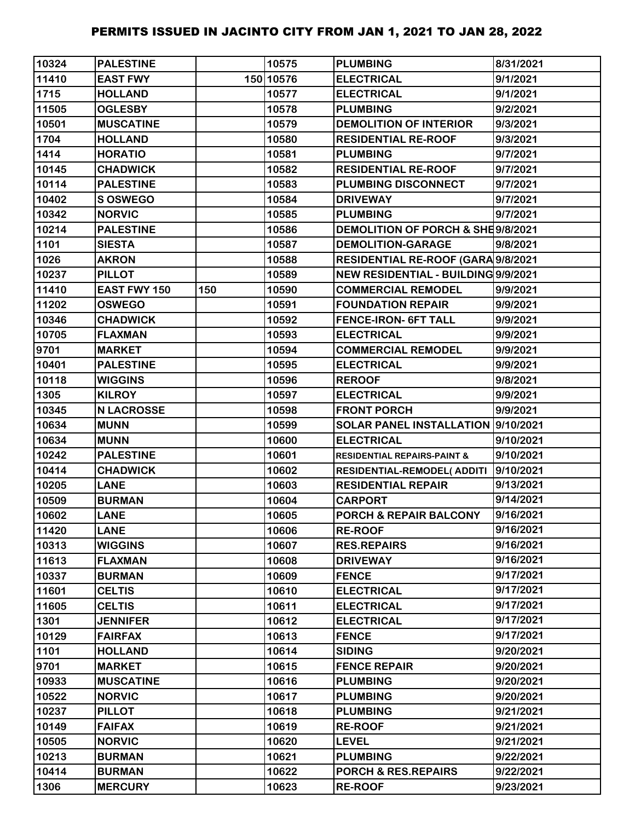| 10324 | <b>PALESTINE</b>  |     | 10575     | <b>PLUMBING</b>                        | 8/31/2021 |
|-------|-------------------|-----|-----------|----------------------------------------|-----------|
| 11410 | <b>EAST FWY</b>   |     | 150 10576 | <b>ELECTRICAL</b>                      | 9/1/2021  |
| 1715  | <b>HOLLAND</b>    |     | 10577     | <b>ELECTRICAL</b>                      | 9/1/2021  |
| 11505 | <b>OGLESBY</b>    |     | 10578     | <b>PLUMBING</b>                        | 9/2/2021  |
| 10501 | <b>MUSCATINE</b>  |     | 10579     | <b>DEMOLITION OF INTERIOR</b>          | 9/3/2021  |
| 1704  | <b>HOLLAND</b>    |     | 10580     | <b>RESIDENTIAL RE-ROOF</b>             | 9/3/2021  |
| 1414  | <b>HORATIO</b>    |     | 10581     | <b>PLUMBING</b>                        | 9/7/2021  |
| 10145 | <b>CHADWICK</b>   |     | 10582     | <b>RESIDENTIAL RE-ROOF</b>             | 9/7/2021  |
| 10114 | <b>PALESTINE</b>  |     | 10583     | <b>PLUMBING DISCONNECT</b>             | 9/7/2021  |
| 10402 | S OSWEGO          |     | 10584     | <b>DRIVEWAY</b>                        | 9/7/2021  |
| 10342 | <b>NORVIC</b>     |     | 10585     | <b>PLUMBING</b>                        | 9/7/2021  |
| 10214 | <b>PALESTINE</b>  |     | 10586     | DEMOLITION OF PORCH & SHE9/8/2021      |           |
| 1101  | <b>SIESTA</b>     |     | 10587     | <b>DEMOLITION-GARAGE</b>               | 9/8/2021  |
| 1026  | <b>AKRON</b>      |     | 10588     | RESIDENTIAL RE-ROOF (GARA 9/8/2021     |           |
| 10237 | <b>PILLOT</b>     |     | 10589     | NEW RESIDENTIAL - BUILDING 9/9/2021    |           |
| 11410 | EAST FWY 150      | 150 | 10590     | <b>COMMERCIAL REMODEL</b>              | 9/9/2021  |
| 11202 | <b>OSWEGO</b>     |     | 10591     | <b>FOUNDATION REPAIR</b>               | 9/9/2021  |
| 10346 | <b>CHADWICK</b>   |     | 10592     | FENCE-IRON- 6FT TALL                   | 9/9/2021  |
| 10705 | <b>FLAXMAN</b>    |     | 10593     | <b>ELECTRICAL</b>                      | 9/9/2021  |
| 9701  | <b>MARKET</b>     |     | 10594     | <b>COMMERCIAL REMODEL</b>              | 9/9/2021  |
| 10401 | <b>PALESTINE</b>  |     | 10595     | <b>ELECTRICAL</b>                      | 9/9/2021  |
| 10118 | <b>WIGGINS</b>    |     | 10596     | <b>REROOF</b>                          | 9/8/2021  |
| 1305  | <b>KILROY</b>     |     | 10597     | <b>ELECTRICAL</b>                      | 9/9/2021  |
| 10345 | <b>N LACROSSE</b> |     | 10598     | <b>FRONT PORCH</b>                     | 9/9/2021  |
| 10634 | <b>MUNN</b>       |     | 10599     | SOLAR PANEL INSTALLATION 9/10/2021     |           |
| 10634 | <b>MUNN</b>       |     | 10600     | <b>ELECTRICAL</b>                      | 9/10/2021 |
| 10242 | <b>PALESTINE</b>  |     | 10601     | <b>RESIDENTIAL REPAIRS-PAINT &amp;</b> | 9/10/2021 |
| 10414 | <b>CHADWICK</b>   |     | 10602     | RESIDENTIAL-REMODEL( ADDITI            | 9/10/2021 |
| 10205 | <b>LANE</b>       |     | 10603     | <b>RESIDENTIAL REPAIR</b>              | 9/13/2021 |
| 10509 | <b>BURMAN</b>     |     | 10604     | <b>CARPORT</b>                         | 9/14/2021 |
| 10602 | <b>LANE</b>       |     | 10605     | <b>PORCH &amp; REPAIR BALCONY</b>      | 9/16/2021 |
| 11420 | <b>LANE</b>       |     | 10606     | <b>RE-ROOF</b>                         | 9/16/2021 |
| 10313 | <b>WIGGINS</b>    |     | 10607     | <b>RES.REPAIRS</b>                     | 9/16/2021 |
| 11613 | <b>FLAXMAN</b>    |     | 10608     | <b>DRIVEWAY</b>                        | 9/16/2021 |
| 10337 | <b>BURMAN</b>     |     | 10609     | <b>FENCE</b>                           | 9/17/2021 |
| 11601 | <b>CELTIS</b>     |     | 10610     | <b>ELECTRICAL</b>                      | 9/17/2021 |
| 11605 | <b>CELTIS</b>     |     | 10611     | <b>ELECTRICAL</b>                      | 9/17/2021 |
| 1301  | <b>JENNIFER</b>   |     | 10612     | <b>ELECTRICAL</b>                      | 9/17/2021 |
| 10129 | <b>FAIRFAX</b>    |     | 10613     | <b>FENCE</b>                           | 9/17/2021 |
| 1101  | <b>HOLLAND</b>    |     | 10614     | <b>SIDING</b>                          | 9/20/2021 |
| 9701  | <b>MARKET</b>     |     | 10615     | <b>FENCE REPAIR</b>                    | 9/20/2021 |
| 10933 | <b>MUSCATINE</b>  |     | 10616     | <b>PLUMBING</b>                        | 9/20/2021 |
| 10522 | <b>NORVIC</b>     |     | 10617     | <b>PLUMBING</b>                        | 9/20/2021 |
| 10237 | <b>PILLOT</b>     |     | 10618     | <b>PLUMBING</b>                        | 9/21/2021 |
| 10149 | <b>FAIFAX</b>     |     | 10619     | <b>RE-ROOF</b>                         | 9/21/2021 |
| 10505 | <b>NORVIC</b>     |     | 10620     | <b>LEVEL</b>                           | 9/21/2021 |
| 10213 | <b>BURMAN</b>     |     | 10621     | <b>PLUMBING</b>                        | 9/22/2021 |
| 10414 | <b>BURMAN</b>     |     | 10622     | PORCH & RES.REPAIRS                    | 9/22/2021 |
| 1306  | <b>MERCURY</b>    |     | 10623     | <b>RE-ROOF</b>                         | 9/23/2021 |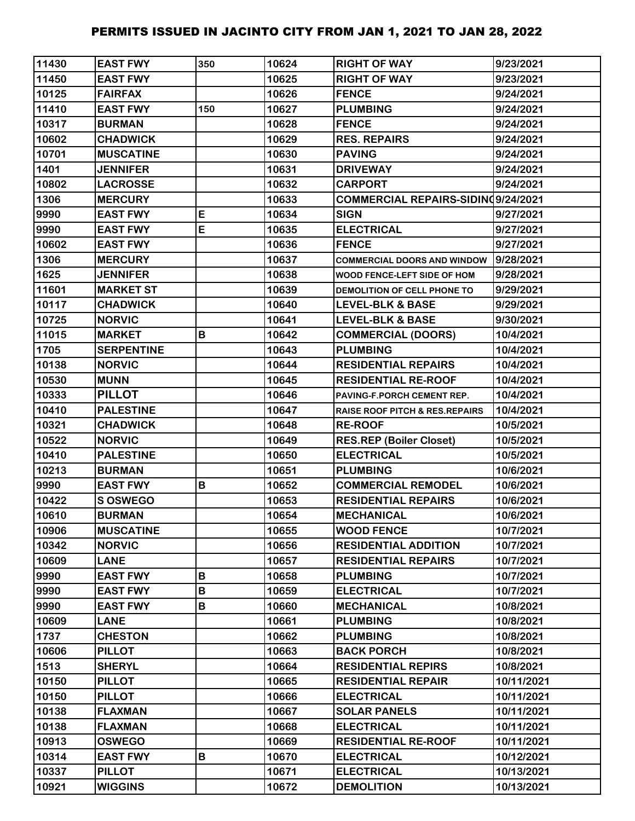| 11430 | <b>EAST FWY</b>   | 350 | 10624 | <b>RIGHT OF WAY</b>                       | 9/23/2021  |
|-------|-------------------|-----|-------|-------------------------------------------|------------|
| 11450 | <b>EAST FWY</b>   |     | 10625 | <b>RIGHT OF WAY</b>                       | 9/23/2021  |
| 10125 | <b>FAIRFAX</b>    |     | 10626 | <b>FENCE</b>                              | 9/24/2021  |
| 11410 | <b>EAST FWY</b>   | 150 | 10627 | <b>PLUMBING</b>                           | 9/24/2021  |
| 10317 | <b>BURMAN</b>     |     | 10628 | <b>FENCE</b>                              | 9/24/2021  |
| 10602 | <b>CHADWICK</b>   |     | 10629 | <b>RES. REPAIRS</b>                       | 9/24/2021  |
| 10701 | <b>MUSCATINE</b>  |     | 10630 | <b>PAVING</b>                             | 9/24/2021  |
| 1401  | <b>JENNIFER</b>   |     | 10631 | <b>DRIVEWAY</b>                           | 9/24/2021  |
| 10802 | <b>LACROSSE</b>   |     | 10632 | <b>CARPORT</b>                            | 9/24/2021  |
| 1306  | <b>MERCURY</b>    |     | 10633 | COMMERCIAL REPAIRS-SIDINQ9/24/2021        |            |
| 9990  | <b>EAST FWY</b>   | E   | 10634 | <b>SIGN</b>                               | 9/27/2021  |
| 9990  | <b>EAST FWY</b>   | E   | 10635 | <b>ELECTRICAL</b>                         | 9/27/2021  |
| 10602 | <b>EAST FWY</b>   |     | 10636 | <b>FENCE</b>                              | 9/27/2021  |
| 1306  | <b>MERCURY</b>    |     | 10637 | <b>COMMERCIAL DOORS AND WINDOW</b>        | 9/28/2021  |
| 1625  | <b>JENNIFER</b>   |     | 10638 | WOOD FENCE-LEFT SIDE OF HOM               | 9/28/2021  |
| 11601 | <b>MARKET ST</b>  |     | 10639 | DEMOLITION OF CELL PHONE TO               | 9/29/2021  |
| 10117 | <b>CHADWICK</b>   |     | 10640 | <b>LEVEL-BLK &amp; BASE</b>               | 9/29/2021  |
| 10725 | <b>NORVIC</b>     |     | 10641 | <b>LEVEL-BLK &amp; BASE</b>               | 9/30/2021  |
| 11015 | <b>MARKET</b>     | B   | 10642 | <b>COMMERCIAL (DOORS)</b>                 | 10/4/2021  |
| 1705  | <b>SERPENTINE</b> |     | 10643 | <b>PLUMBING</b>                           | 10/4/2021  |
| 10138 | <b>NORVIC</b>     |     | 10644 | <b>RESIDENTIAL REPAIRS</b>                | 10/4/2021  |
| 10530 | <b>MUNN</b>       |     | 10645 | <b>RESIDENTIAL RE-ROOF</b>                | 10/4/2021  |
| 10333 | <b>PILLOT</b>     |     | 10646 | PAVING-F.PORCH CEMENT REP.                | 10/4/2021  |
| 10410 | <b>PALESTINE</b>  |     | 10647 | <b>RAISE ROOF PITCH &amp; RES.REPAIRS</b> | 10/4/2021  |
| 10321 | <b>CHADWICK</b>   |     | 10648 | <b>RE-ROOF</b>                            | 10/5/2021  |
| 10522 | <b>NORVIC</b>     |     | 10649 | <b>RES.REP (Boiler Closet)</b>            | 10/5/2021  |
| 10410 | <b>PALESTINE</b>  |     | 10650 | <b>ELECTRICAL</b>                         | 10/5/2021  |
| 10213 | <b>BURMAN</b>     |     | 10651 | <b>PLUMBING</b>                           | 10/6/2021  |
| 9990  | <b>EAST FWY</b>   | B   | 10652 | <b>COMMERCIAL REMODEL</b>                 | 10/6/2021  |
| 10422 | S OSWEGO          |     | 10653 | <b>RESIDENTIAL REPAIRS</b>                | 10/6/2021  |
| 10610 | <b>BURMAN</b>     |     | 10654 | <b>MECHANICAL</b>                         | 10/6/2021  |
| 10906 | <b>MUSCATINE</b>  |     | 10655 | <b>WOOD FENCE</b>                         | 10/7/2021  |
| 10342 | <b>NORVIC</b>     |     | 10656 | <b>RESIDENTIAL ADDITION</b>               | 10/7/2021  |
| 10609 | <b>LANE</b>       |     | 10657 | <b>RESIDENTIAL REPAIRS</b>                | 10/7/2021  |
| 9990  | <b>EAST FWY</b>   | B   | 10658 | <b>PLUMBING</b>                           | 10/7/2021  |
| 9990  | <b>EAST FWY</b>   | B   | 10659 | <b>ELECTRICAL</b>                         | 10/7/2021  |
| 9990  | <b>EAST FWY</b>   | B   | 10660 | <b>MECHANICAL</b>                         | 10/8/2021  |
| 10609 | <b>LANE</b>       |     | 10661 | <b>PLUMBING</b>                           | 10/8/2021  |
| 1737  | <b>CHESTON</b>    |     | 10662 | <b>PLUMBING</b>                           | 10/8/2021  |
| 10606 | <b>PILLOT</b>     |     | 10663 | <b>BACK PORCH</b>                         | 10/8/2021  |
| 1513  | <b>SHERYL</b>     |     | 10664 | <b>RESIDENTIAL REPIRS</b>                 | 10/8/2021  |
| 10150 | <b>PILLOT</b>     |     | 10665 | <b>RESIDENTIAL REPAIR</b>                 | 10/11/2021 |
| 10150 | <b>PILLOT</b>     |     | 10666 | <b>ELECTRICAL</b>                         | 10/11/2021 |
| 10138 | <b>FLAXMAN</b>    |     | 10667 | <b>SOLAR PANELS</b>                       | 10/11/2021 |
| 10138 | <b>FLAXMAN</b>    |     | 10668 | <b>ELECTRICAL</b>                         | 10/11/2021 |
| 10913 | <b>OSWEGO</b>     |     | 10669 | <b>RESIDENTIAL RE-ROOF</b>                | 10/11/2021 |
| 10314 | <b>EAST FWY</b>   | B   | 10670 | <b>ELECTRICAL</b>                         | 10/12/2021 |
| 10337 | <b>PILLOT</b>     |     | 10671 | <b>ELECTRICAL</b>                         | 10/13/2021 |
| 10921 | <b>WIGGINS</b>    |     | 10672 | <b>DEMOLITION</b>                         | 10/13/2021 |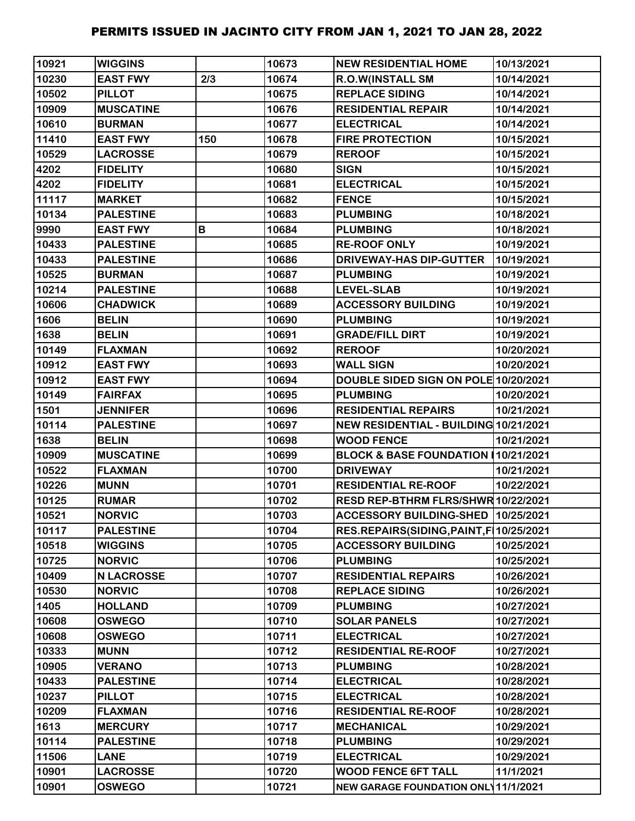| 10921 | <b>WIGGINS</b>    |     | 10673 | <b>NEW RESIDENTIAL HOME</b>               | 10/13/2021 |
|-------|-------------------|-----|-------|-------------------------------------------|------------|
| 10230 | <b>EAST FWY</b>   | 2/3 | 10674 | R.O.W(INSTALL SM                          | 10/14/2021 |
| 10502 | <b>PILLOT</b>     |     | 10675 | <b>REPLACE SIDING</b>                     | 10/14/2021 |
| 10909 | <b>MUSCATINE</b>  |     | 10676 | <b>RESIDENTIAL REPAIR</b>                 | 10/14/2021 |
| 10610 | <b>BURMAN</b>     |     | 10677 | <b>ELECTRICAL</b>                         | 10/14/2021 |
| 11410 | <b>EAST FWY</b>   | 150 | 10678 | <b>FIRE PROTECTION</b>                    | 10/15/2021 |
| 10529 | <b>LACROSSE</b>   |     | 10679 | <b>REROOF</b>                             | 10/15/2021 |
| 4202  | <b>FIDELITY</b>   |     | 10680 | <b>SIGN</b>                               | 10/15/2021 |
| 4202  | <b>FIDELITY</b>   |     | 10681 | <b>ELECTRICAL</b>                         | 10/15/2021 |
| 11117 | <b>MARKET</b>     |     | 10682 | <b>FENCE</b>                              | 10/15/2021 |
| 10134 | <b>PALESTINE</b>  |     | 10683 | <b>PLUMBING</b>                           | 10/18/2021 |
| 9990  | <b>EAST FWY</b>   | B   | 10684 | <b>PLUMBING</b>                           | 10/18/2021 |
| 10433 | <b>PALESTINE</b>  |     | 10685 | <b>RE-ROOF ONLY</b>                       | 10/19/2021 |
| 10433 | <b>PALESTINE</b>  |     | 10686 | <b>DRIVEWAY-HAS DIP-GUTTER</b>            | 10/19/2021 |
| 10525 | <b>BURMAN</b>     |     | 10687 | <b>PLUMBING</b>                           | 10/19/2021 |
| 10214 | <b>PALESTINE</b>  |     | 10688 | <b>LEVEL-SLAB</b>                         | 10/19/2021 |
| 10606 | <b>CHADWICK</b>   |     | 10689 | <b>ACCESSORY BUILDING</b>                 | 10/19/2021 |
| 1606  | <b>BELIN</b>      |     | 10690 | <b>PLUMBING</b>                           | 10/19/2021 |
| 1638  | <b>BELIN</b>      |     | 10691 | <b>GRADE/FILL DIRT</b>                    | 10/19/2021 |
| 10149 | <b>FLAXMAN</b>    |     | 10692 | <b>REROOF</b>                             | 10/20/2021 |
| 10912 | <b>EAST FWY</b>   |     | 10693 | <b>WALL SIGN</b>                          | 10/20/2021 |
| 10912 | <b>EAST FWY</b>   |     | 10694 | DOUBLE SIDED SIGN ON POLE 10/20/2021      |            |
| 10149 | <b>FAIRFAX</b>    |     | 10695 | <b>PLUMBING</b>                           | 10/20/2021 |
| 1501  | <b>JENNIFER</b>   |     | 10696 | <b>RESIDENTIAL REPAIRS</b>                | 10/21/2021 |
| 10114 | <b>PALESTINE</b>  |     | 10697 | NEW RESIDENTIAL - BUILDING 10/21/2021     |            |
| 1638  | <b>BELIN</b>      |     | 10698 | <b>WOOD FENCE</b>                         | 10/21/2021 |
| 10909 | <b>MUSCATINE</b>  |     | 10699 | BLOCK & BASE FOUNDATION 10/21/2021        |            |
| 10522 | <b>FLAXMAN</b>    |     | 10700 | <b>DRIVEWAY</b>                           | 10/21/2021 |
| 10226 | <b>MUNN</b>       |     | 10701 | <b>RESIDENTIAL RE-ROOF</b>                | 10/22/2021 |
| 10125 | <b>RUMAR</b>      |     | 10702 | RESD REP-BTHRM FLRS/SHWR 10/22/2021       |            |
| 10521 | <b>NORVIC</b>     |     | 10703 | ACCESSORY BUILDING-SHED  10/25/2021       |            |
| 10117 | <b>PALESTINE</b>  |     | 10704 | RES.REPAIRS(SIDING, PAINT, F   10/25/2021 |            |
| 10518 | <b>WIGGINS</b>    |     | 10705 | <b>ACCESSORY BUILDING</b>                 | 10/25/2021 |
| 10725 | <b>NORVIC</b>     |     | 10706 | <b>PLUMBING</b>                           | 10/25/2021 |
| 10409 | <b>N LACROSSE</b> |     | 10707 | <b>RESIDENTIAL REPAIRS</b>                | 10/26/2021 |
| 10530 | <b>NORVIC</b>     |     | 10708 | <b>REPLACE SIDING</b>                     | 10/26/2021 |
| 1405  | <b>HOLLAND</b>    |     | 10709 | <b>PLUMBING</b>                           | 10/27/2021 |
| 10608 | <b>OSWEGO</b>     |     | 10710 | <b>SOLAR PANELS</b>                       | 10/27/2021 |
| 10608 | <b>OSWEGO</b>     |     | 10711 | <b>ELECTRICAL</b>                         | 10/27/2021 |
| 10333 | <b>MUNN</b>       |     | 10712 | <b>RESIDENTIAL RE-ROOF</b>                | 10/27/2021 |
| 10905 | <b>VERANO</b>     |     | 10713 | <b>PLUMBING</b>                           | 10/28/2021 |
| 10433 | <b>PALESTINE</b>  |     | 10714 | <b>ELECTRICAL</b>                         | 10/28/2021 |
| 10237 | <b>PILLOT</b>     |     | 10715 | <b>ELECTRICAL</b>                         | 10/28/2021 |
| 10209 | <b>FLAXMAN</b>    |     | 10716 | <b>RESIDENTIAL RE-ROOF</b>                | 10/28/2021 |
| 1613  | <b>MERCURY</b>    |     | 10717 | <b>MECHANICAL</b>                         | 10/29/2021 |
| 10114 | <b>PALESTINE</b>  |     | 10718 | <b>PLUMBING</b>                           | 10/29/2021 |
| 11506 | <b>LANE</b>       |     | 10719 | <b>ELECTRICAL</b>                         | 10/29/2021 |
| 10901 | <b>LACROSSE</b>   |     | 10720 | <b>WOOD FENCE 6FT TALL</b>                | 11/1/2021  |
| 10901 | <b>OSWEGO</b>     |     | 10721 | NEW GARAGE FOUNDATION ONL 11/1/2021       |            |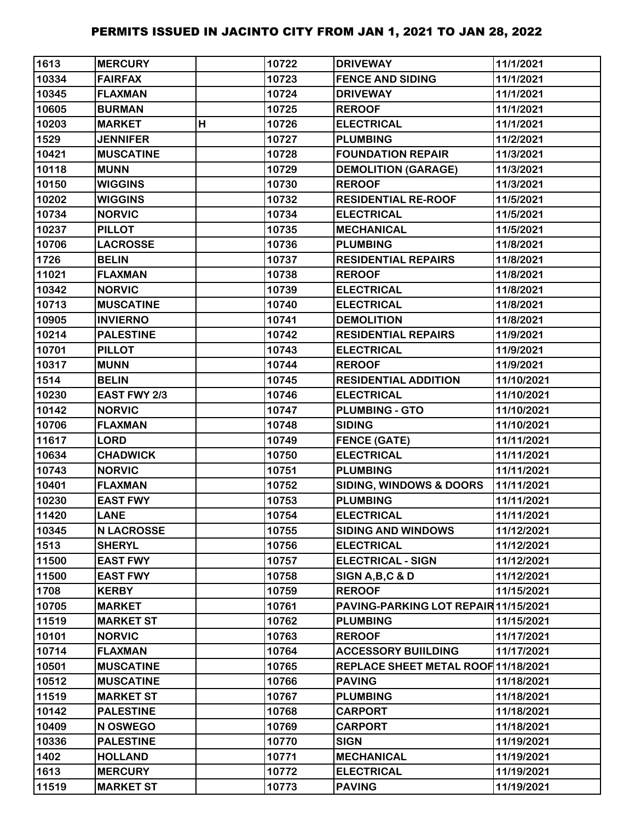| 1613  | <b>MERCURY</b>    |   | 10722 | <b>DRIVEWAY</b>                      | 11/1/2021  |
|-------|-------------------|---|-------|--------------------------------------|------------|
| 10334 | <b>FAIRFAX</b>    |   | 10723 | <b>FENCE AND SIDING</b>              | 11/1/2021  |
| 10345 | <b>FLAXMAN</b>    |   | 10724 | <b>DRIVEWAY</b>                      | 11/1/2021  |
| 10605 | <b>BURMAN</b>     |   | 10725 | <b>REROOF</b>                        | 11/1/2021  |
| 10203 | <b>MARKET</b>     | H | 10726 | <b>ELECTRICAL</b>                    | 11/1/2021  |
| 1529  | <b>JENNIFER</b>   |   | 10727 | <b>PLUMBING</b>                      | 11/2/2021  |
| 10421 | <b>MUSCATINE</b>  |   | 10728 | <b>FOUNDATION REPAIR</b>             | 11/3/2021  |
| 10118 | <b>MUNN</b>       |   | 10729 | <b>DEMOLITION (GARAGE)</b>           | 11/3/2021  |
| 10150 | <b>WIGGINS</b>    |   | 10730 | <b>REROOF</b>                        | 11/3/2021  |
| 10202 | <b>WIGGINS</b>    |   | 10732 | <b>RESIDENTIAL RE-ROOF</b>           | 11/5/2021  |
| 10734 | <b>NORVIC</b>     |   | 10734 | <b>ELECTRICAL</b>                    | 11/5/2021  |
| 10237 | <b>PILLOT</b>     |   | 10735 | <b>MECHANICAL</b>                    | 11/5/2021  |
| 10706 | <b>LACROSSE</b>   |   | 10736 | <b>PLUMBING</b>                      | 11/8/2021  |
| 1726  | <b>BELIN</b>      |   | 10737 | <b>RESIDENTIAL REPAIRS</b>           | 11/8/2021  |
| 11021 | <b>FLAXMAN</b>    |   | 10738 | <b>REROOF</b>                        | 11/8/2021  |
| 10342 | <b>NORVIC</b>     |   | 10739 | <b>ELECTRICAL</b>                    | 11/8/2021  |
| 10713 | <b>MUSCATINE</b>  |   | 10740 | <b>ELECTRICAL</b>                    | 11/8/2021  |
| 10905 | <b>INVIERNO</b>   |   | 10741 | <b>DEMOLITION</b>                    | 11/8/2021  |
| 10214 | <b>PALESTINE</b>  |   | 10742 | <b>RESIDENTIAL REPAIRS</b>           | 11/9/2021  |
| 10701 | <b>PILLOT</b>     |   | 10743 | <b>ELECTRICAL</b>                    | 11/9/2021  |
| 10317 | <b>MUNN</b>       |   | 10744 | <b>REROOF</b>                        | 11/9/2021  |
| 1514  | <b>BELIN</b>      |   | 10745 | <b>RESIDENTIAL ADDITION</b>          | 11/10/2021 |
| 10230 | EAST FWY 2/3      |   | 10746 | <b>ELECTRICAL</b>                    | 11/10/2021 |
| 10142 | <b>NORVIC</b>     |   | 10747 | <b>PLUMBING - GTO</b>                | 11/10/2021 |
| 10706 | <b>FLAXMAN</b>    |   | 10748 | <b>SIDING</b>                        | 11/10/2021 |
| 11617 | <b>LORD</b>       |   | 10749 | <b>FENCE (GATE)</b>                  | 11/11/2021 |
| 10634 | <b>CHADWICK</b>   |   | 10750 | <b>ELECTRICAL</b>                    | 11/11/2021 |
| 10743 | <b>NORVIC</b>     |   | 10751 | <b>PLUMBING</b>                      | 11/11/2021 |
| 10401 | <b>FLAXMAN</b>    |   | 10752 | <b>SIDING, WINDOWS &amp; DOORS</b>   | 11/11/2021 |
| 10230 | <b>EAST FWY</b>   |   | 10753 | <b>PLUMBING</b>                      | 11/11/2021 |
| 11420 | <b>LANE</b>       |   | 10754 | <b>ELECTRICAL</b>                    | 11/11/2021 |
| 10345 | <b>N LACROSSE</b> |   | 10755 | <b>SIDING AND WINDOWS</b>            | 11/12/2021 |
| 1513  | <b>SHERYL</b>     |   | 10756 | <b>ELECTRICAL</b>                    | 11/12/2021 |
| 11500 | <b>EAST FWY</b>   |   | 10757 | <b>ELECTRICAL - SIGN</b>             | 11/12/2021 |
| 11500 | <b>EAST FWY</b>   |   | 10758 | SIGN A, B, C & D                     | 11/12/2021 |
| 1708  | <b>KERBY</b>      |   | 10759 | <b>REROOF</b>                        | 11/15/2021 |
| 10705 | <b>MARKET</b>     |   | 10761 | PAVING-PARKING LOT REPAIR 11/15/2021 |            |
| 11519 | <b>MARKET ST</b>  |   | 10762 | <b>PLUMBING</b>                      | 11/15/2021 |
| 10101 | <b>NORVIC</b>     |   | 10763 | <b>REROOF</b>                        | 11/17/2021 |
| 10714 | <b>FLAXMAN</b>    |   | 10764 | <b>ACCESSORY BUIILDING</b>           | 11/17/2021 |
| 10501 | <b>MUSCATINE</b>  |   | 10765 | REPLACE SHEET METAL ROOF 11/18/2021  |            |
| 10512 | <b>MUSCATINE</b>  |   | 10766 | <b>PAVING</b>                        | 11/18/2021 |
| 11519 | <b>MARKET ST</b>  |   | 10767 | <b>PLUMBING</b>                      | 11/18/2021 |
| 10142 | <b>PALESTINE</b>  |   | 10768 | <b>CARPORT</b>                       | 11/18/2021 |
| 10409 | N OSWEGO          |   | 10769 | <b>CARPORT</b>                       | 11/18/2021 |
| 10336 | <b>PALESTINE</b>  |   | 10770 | <b>SIGN</b>                          | 11/19/2021 |
| 1402  | <b>HOLLAND</b>    |   | 10771 | <b>MECHANICAL</b>                    | 11/19/2021 |
| 1613  | <b>MERCURY</b>    |   | 10772 | <b>ELECTRICAL</b>                    | 11/19/2021 |
| 11519 | <b>MARKET ST</b>  |   | 10773 | <b>PAVING</b>                        | 11/19/2021 |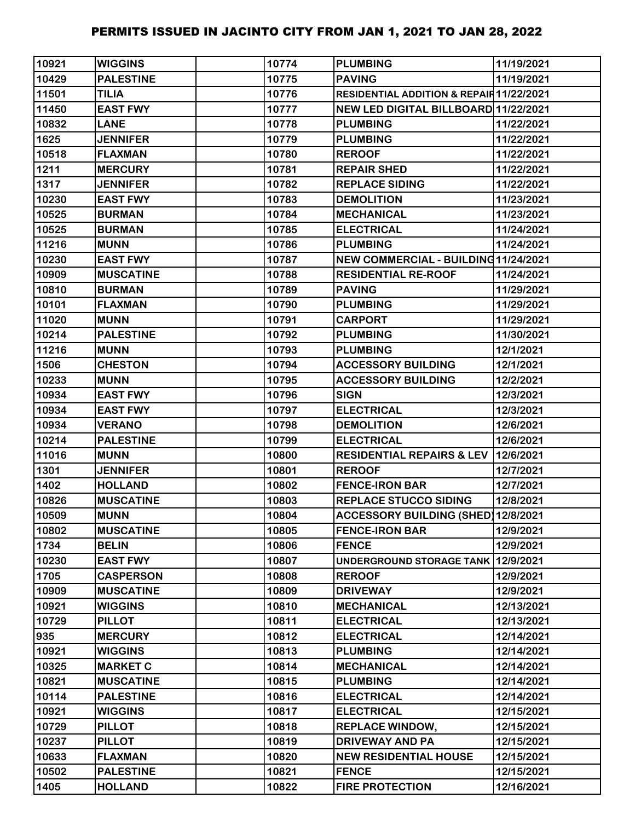| 10921 | <b>WIGGINS</b>   | 10774 | <b>PLUMBING</b>                          | 11/19/2021 |
|-------|------------------|-------|------------------------------------------|------------|
| 10429 | <b>PALESTINE</b> | 10775 | <b>PAVING</b>                            | 11/19/2021 |
| 11501 | <b>TILIA</b>     | 10776 | RESIDENTIAL ADDITION & REPAIR 11/22/2021 |            |
| 11450 | <b>EAST FWY</b>  | 10777 | NEW LED DIGITAL BILLBOARD 11/22/2021     |            |
| 10832 | <b>LANE</b>      | 10778 | <b>PLUMBING</b>                          | 11/22/2021 |
| 1625  | <b>JENNIFER</b>  | 10779 | <b>PLUMBING</b>                          | 11/22/2021 |
| 10518 | <b>FLAXMAN</b>   | 10780 | <b>REROOF</b>                            | 11/22/2021 |
| 1211  | <b>MERCURY</b>   | 10781 | <b>REPAIR SHED</b>                       | 11/22/2021 |
| 1317  | <b>JENNIFER</b>  | 10782 | <b>REPLACE SIDING</b>                    | 11/22/2021 |
| 10230 | <b>EAST FWY</b>  | 10783 | <b>DEMOLITION</b>                        | 11/23/2021 |
| 10525 | <b>BURMAN</b>    | 10784 | <b>MECHANICAL</b>                        | 11/23/2021 |
| 10525 | <b>BURMAN</b>    | 10785 | <b>ELECTRICAL</b>                        | 11/24/2021 |
| 11216 | <b>MUNN</b>      | 10786 | <b>PLUMBING</b>                          | 11/24/2021 |
| 10230 | <b>EAST FWY</b>  | 10787 | NEW COMMERCIAL - BUILDING 11/24/2021     |            |
| 10909 | <b>MUSCATINE</b> | 10788 | <b>RESIDENTIAL RE-ROOF</b>               | 11/24/2021 |
| 10810 | <b>BURMAN</b>    | 10789 | <b>PAVING</b>                            | 11/29/2021 |
| 10101 | <b>FLAXMAN</b>   | 10790 | <b>PLUMBING</b>                          | 11/29/2021 |
| 11020 | <b>MUNN</b>      | 10791 | <b>CARPORT</b>                           | 11/29/2021 |
| 10214 | <b>PALESTINE</b> | 10792 | <b>PLUMBING</b>                          | 11/30/2021 |
| 11216 | <b>MUNN</b>      | 10793 | <b>PLUMBING</b>                          | 12/1/2021  |
| 1506  | <b>CHESTON</b>   | 10794 | <b>ACCESSORY BUILDING</b>                | 12/1/2021  |
| 10233 | <b>MUNN</b>      | 10795 | <b>ACCESSORY BUILDING</b>                | 12/2/2021  |
| 10934 | <b>EAST FWY</b>  | 10796 | <b>SIGN</b>                              | 12/3/2021  |
| 10934 | <b>EAST FWY</b>  | 10797 | <b>ELECTRICAL</b>                        | 12/3/2021  |
| 10934 | <b>VERANO</b>    | 10798 | <b>DEMOLITION</b>                        | 12/6/2021  |
| 10214 | <b>PALESTINE</b> | 10799 | <b>ELECTRICAL</b>                        | 12/6/2021  |
| 11016 | <b>MUNN</b>      | 10800 | RESIDENTIAL REPAIRS & LEV   12/6/2021    |            |
| 1301  | <b>JENNIFER</b>  | 10801 | <b>REROOF</b>                            | 12/7/2021  |
| 1402  | <b>HOLLAND</b>   | 10802 | <b>FENCE-IRON BAR</b>                    | 12/7/2021  |
| 10826 | <b>MUSCATINE</b> | 10803 | <b>REPLACE STUCCO SIDING</b>             | 12/8/2021  |
| 10509 | <b>MUNN</b>      | 10804 | ACCESSORY BUILDING (SHED) 12/8/2021      |            |
| 10802 | <b>MUSCATINE</b> | 10805 | <b>FENCE-IRON BAR</b>                    | 12/9/2021  |
| 1734  | <b>BELIN</b>     | 10806 | <b>FENCE</b>                             | 12/9/2021  |
| 10230 | <b>EAST FWY</b>  | 10807 | UNDERGROUND STORAGE TANK 12/9/2021       |            |
| 1705  | <b>CASPERSON</b> | 10808 | <b>REROOF</b>                            | 12/9/2021  |
| 10909 | <b>MUSCATINE</b> | 10809 | <b>DRIVEWAY</b>                          | 12/9/2021  |
| 10921 | <b>WIGGINS</b>   | 10810 | <b>MECHANICAL</b>                        | 12/13/2021 |
| 10729 | <b>PILLOT</b>    | 10811 | <b>ELECTRICAL</b>                        | 12/13/2021 |
| 935   | <b>MERCURY</b>   | 10812 | <b>ELECTRICAL</b>                        | 12/14/2021 |
| 10921 | <b>WIGGINS</b>   | 10813 | <b>PLUMBING</b>                          | 12/14/2021 |
| 10325 | <b>MARKET C</b>  | 10814 | <b>MECHANICAL</b>                        | 12/14/2021 |
| 10821 | <b>MUSCATINE</b> | 10815 | <b>PLUMBING</b>                          | 12/14/2021 |
| 10114 | <b>PALESTINE</b> | 10816 | <b>ELECTRICAL</b>                        | 12/14/2021 |
| 10921 | <b>WIGGINS</b>   | 10817 | <b>ELECTRICAL</b>                        | 12/15/2021 |
| 10729 | <b>PILLOT</b>    | 10818 | <b>REPLACE WINDOW,</b>                   | 12/15/2021 |
| 10237 | <b>PILLOT</b>    | 10819 | <b>DRIVEWAY AND PA</b>                   | 12/15/2021 |
| 10633 | <b>FLAXMAN</b>   | 10820 | <b>NEW RESIDENTIAL HOUSE</b>             | 12/15/2021 |
| 10502 | <b>PALESTINE</b> | 10821 | <b>FENCE</b>                             | 12/15/2021 |
| 1405  | <b>HOLLAND</b>   | 10822 | <b>FIRE PROTECTION</b>                   | 12/16/2021 |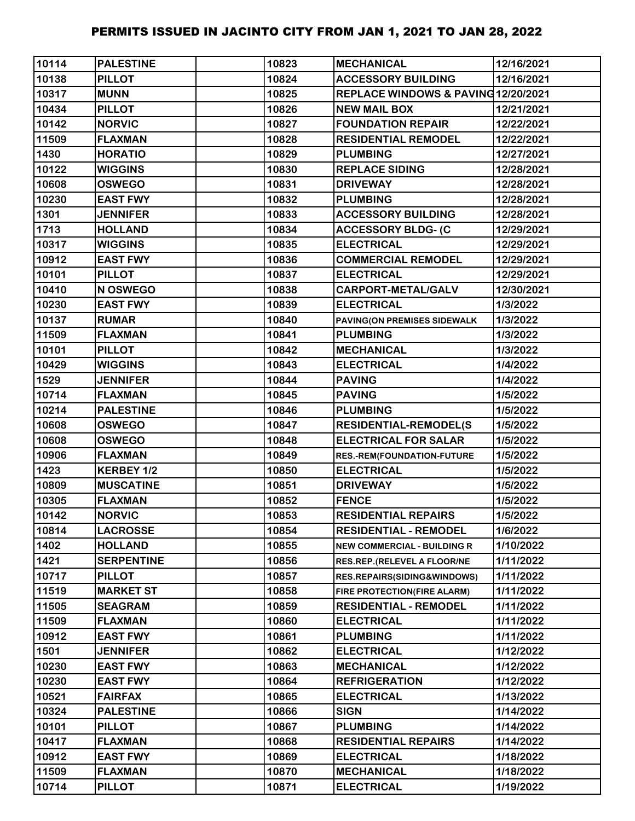| 10114 | <b>PALESTINE</b>  | 10823 | <b>IMECHANICAL</b>                  | 12/16/2021 |
|-------|-------------------|-------|-------------------------------------|------------|
| 10138 | <b>PILLOT</b>     | 10824 | <b>ACCESSORY BUILDING</b>           | 12/16/2021 |
| 10317 | <b>MUNN</b>       | 10825 | REPLACE WINDOWS & PAVING 12/20/2021 |            |
| 10434 | <b>PILLOT</b>     | 10826 | <b>NEW MAIL BOX</b>                 | 12/21/2021 |
| 10142 | <b>NORVIC</b>     | 10827 | <b>FOUNDATION REPAIR</b>            | 12/22/2021 |
| 11509 | <b>FLAXMAN</b>    | 10828 | <b>RESIDENTIAL REMODEL</b>          | 12/22/2021 |
| 1430  | <b>HORATIO</b>    | 10829 | <b>PLUMBING</b>                     | 12/27/2021 |
| 10122 | <b>WIGGINS</b>    | 10830 | <b>REPLACE SIDING</b>               | 12/28/2021 |
| 10608 | <b>OSWEGO</b>     | 10831 | <b>DRIVEWAY</b>                     | 12/28/2021 |
| 10230 | <b>EAST FWY</b>   | 10832 | <b>PLUMBING</b>                     | 12/28/2021 |
| 1301  | <b>JENNIFER</b>   | 10833 | <b>ACCESSORY BUILDING</b>           | 12/28/2021 |
| 1713  | <b>HOLLAND</b>    | 10834 | <b>ACCESSORY BLDG- (C</b>           | 12/29/2021 |
| 10317 | <b>WIGGINS</b>    | 10835 | <b>ELECTRICAL</b>                   | 12/29/2021 |
| 10912 | <b>EAST FWY</b>   | 10836 | <b>COMMERCIAL REMODEL</b>           | 12/29/2021 |
| 10101 | <b>PILLOT</b>     | 10837 | <b>ELECTRICAL</b>                   | 12/29/2021 |
| 10410 | N OSWEGO          | 10838 | CARPORT-METAL/GALV                  | 12/30/2021 |
| 10230 | <b>EAST FWY</b>   | 10839 | <b>ELECTRICAL</b>                   | 1/3/2022   |
| 10137 | <b>RUMAR</b>      | 10840 | PAVING(ON PREMISES SIDEWALK         | 1/3/2022   |
| 11509 | <b>FLAXMAN</b>    | 10841 | <b>PLUMBING</b>                     | 1/3/2022   |
| 10101 | <b>PILLOT</b>     | 10842 | <b>MECHANICAL</b>                   | 1/3/2022   |
| 10429 | <b>WIGGINS</b>    | 10843 | <b>ELECTRICAL</b>                   | 1/4/2022   |
| 1529  | <b>JENNIFER</b>   | 10844 | <b>PAVING</b>                       | 1/4/2022   |
| 10714 | <b>FLAXMAN</b>    | 10845 | <b>PAVING</b>                       | 1/5/2022   |
| 10214 | <b>PALESTINE</b>  | 10846 | <b>PLUMBING</b>                     | 1/5/2022   |
| 10608 | <b>OSWEGO</b>     | 10847 | <b>RESIDENTIAL-REMODEL(S</b>        | 1/5/2022   |
| 10608 | <b>OSWEGO</b>     | 10848 | <b>ELECTRICAL FOR SALAR</b>         | 1/5/2022   |
| 10906 | <b>FLAXMAN</b>    | 10849 | RES.-REM(FOUNDATION-FUTURE          | 1/5/2022   |
| 1423  | KERBEY 1/2        | 10850 | <b>ELECTRICAL</b>                   | 1/5/2022   |
| 10809 | <b>MUSCATINE</b>  | 10851 | <b>DRIVEWAY</b>                     | 1/5/2022   |
| 10305 | <b>FLAXMAN</b>    | 10852 | <b>FENCE</b>                        | 1/5/2022   |
| 10142 | <b>NORVIC</b>     | 10853 | <b>RESIDENTIAL REPAIRS</b>          | 1/5/2022   |
| 10814 | <b>LACROSSE</b>   | 10854 | <b>RESIDENTIAL - REMODEL</b>        | 1/6/2022   |
| 1402  | <b>HOLLAND</b>    | 10855 | <b>NEW COMMERCIAL - BUILDING R</b>  | 1/10/2022  |
| 1421  | <b>SERPENTINE</b> | 10856 | RES.REP.(RELEVEL A FLOOR/NE         | 1/11/2022  |
| 10717 | <b>PILLOT</b>     | 10857 | RES.REPAIRS(SIDING&WINDOWS)         | 1/11/2022  |
| 11519 | <b>MARKET ST</b>  | 10858 | FIRE PROTECTION(FIRE ALARM)         | 1/11/2022  |
| 11505 | <b>SEAGRAM</b>    | 10859 | <b>RESIDENTIAL - REMODEL</b>        | 1/11/2022  |
| 11509 | <b>FLAXMAN</b>    | 10860 | <b>ELECTRICAL</b>                   | 1/11/2022  |
| 10912 | <b>EAST FWY</b>   | 10861 | <b>PLUMBING</b>                     | 1/11/2022  |
| 1501  | <b>JENNIFER</b>   | 10862 | <b>ELECTRICAL</b>                   | 1/12/2022  |
| 10230 | <b>EAST FWY</b>   | 10863 | <b>MECHANICAL</b>                   | 1/12/2022  |
| 10230 | <b>EAST FWY</b>   | 10864 | <b>REFRIGERATION</b>                | 1/12/2022  |
| 10521 | <b>FAIRFAX</b>    | 10865 | <b>ELECTRICAL</b>                   | 1/13/2022  |
| 10324 | <b>PALESTINE</b>  | 10866 | <b>SIGN</b>                         | 1/14/2022  |
| 10101 | <b>PILLOT</b>     | 10867 | <b>PLUMBING</b>                     | 1/14/2022  |
| 10417 | <b>FLAXMAN</b>    | 10868 | <b>RESIDENTIAL REPAIRS</b>          | 1/14/2022  |
| 10912 | <b>EAST FWY</b>   | 10869 | <b>ELECTRICAL</b>                   | 1/18/2022  |
| 11509 | <b>FLAXMAN</b>    | 10870 | <b>MECHANICAL</b>                   | 1/18/2022  |
| 10714 | <b>PILLOT</b>     | 10871 | <b>ELECTRICAL</b>                   | 1/19/2022  |